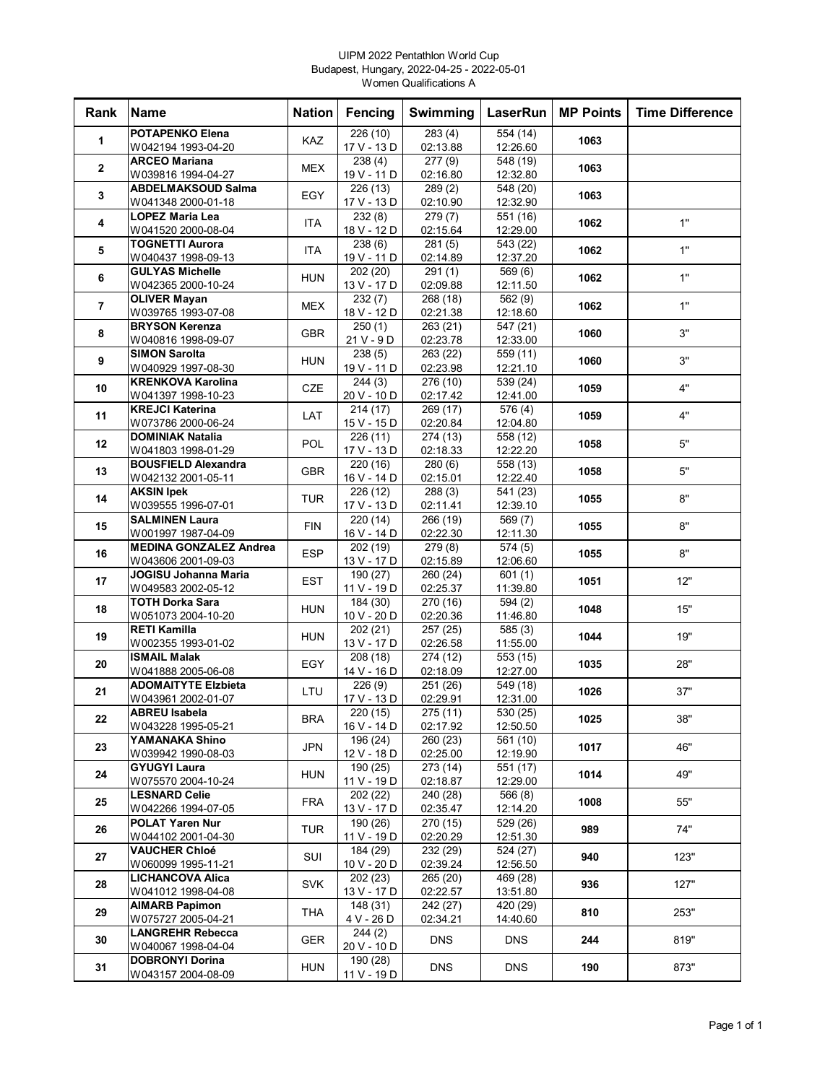### UIPM 2022 Pentathlon World Cup Budapest, Hungary, 2022-04-25 - 2022-05-01 Women Qualifications A

| Rank           | <b>Name</b>                                   | <b>Nation</b> | <b>Fencing</b>          | Swimming              | LaserRun              | <b>MP Points</b> | <b>Time Difference</b> |
|----------------|-----------------------------------------------|---------------|-------------------------|-----------------------|-----------------------|------------------|------------------------|
| 1              | <b>POTAPENKO Elena</b>                        | KAZ           | 226 (10)                | 283(4)                | 554 (14)              | 1063             |                        |
|                | W042194 1993-04-20                            |               | 17 V - 13 D             | 02:13.88              | 12:26.60              |                  |                        |
| $\mathbf{2}$   | <b>ARCEO Mariana</b>                          | <b>MEX</b>    | 238(4)                  | 277(9)                | 548 (19)              | 1063             |                        |
|                | W039816 1994-04-27                            |               | 19 V - 11 D             | 02:16.80              | 12:32.80              |                  |                        |
| 3              | <b>ABDELMAKSOUD Salma</b>                     | EGY           | 226 (13)                | 289(2)                | 548 (20)              | 1063             |                        |
|                | W041348 2000-01-18<br><b>LOPEZ Maria Lea</b>  |               | 17 V - 13 D<br>232(8)   | 02:10.90<br>279(7)    | 12:32.90<br>551 (16)  |                  |                        |
| 4              | W041520 2000-08-04                            | ITA           | 18 V - 12 D             | 02:15.64              | 12:29.00              | 1062             | 1"                     |
|                | <b>TOGNETTI Aurora</b>                        |               | 238(6)                  | 281(5)                | 543 (22)              |                  |                        |
| 5              | W040437 1998-09-13                            | <b>ITA</b>    | 19 V - 11 D             | 02:14.89              | 12:37.20              | 1062             | 1"                     |
|                | <b>GULYAS Michelle</b>                        | <b>HUN</b>    | 202 (20)                | 291(1)                | 569(6)                | 1062             | 1"                     |
| 6              | W042365 2000-10-24                            |               | 13 V - 17 D             | 02:09.88              | 12:11.50              |                  |                        |
| $\overline{7}$ | <b>OLIVER Mayan</b>                           | <b>MEX</b>    | 232(7)                  | 268 (18)              | 562 (9)               | 1062             | 1"                     |
|                | W039765 1993-07-08                            |               | 18 V - 12 D             | 02:21.38              | 12:18.60              |                  |                        |
| 8              | <b>BRYSON Kerenza</b>                         | <b>GBR</b>    | 250(1)                  | 263 (21)              | 547 (21)              | 1060             | 3"                     |
|                | W040816 1998-09-07<br><b>SIMON Sarolta</b>    |               | $21V - 9D$              | 02:23.78              | 12:33.00              |                  |                        |
| 9              | W040929 1997-08-30                            | <b>HUN</b>    | 238(5)<br>19 V - 11 D   | 263 (22)<br>02:23.98  | 559 (11)<br>12:21.10  | 1060             | 3"                     |
|                | <b>KRENKOVA Karolina</b>                      |               | 244(3)                  | 276 (10)              | 539 (24)              |                  |                        |
| 10             | W041397 1998-10-23                            | <b>CZE</b>    | 20 V - 10 D             | 02:17.42              | 12:41.00              | 1059             | 4"                     |
|                | <b>KREJCI Katerina</b>                        |               | 214 (17)                | 269 (17)              | 576 (4)               |                  | 4"                     |
| 11             | W073786 2000-06-24                            | LAT           | 15 V - 15 D             | 02:20.84              | 12:04.80              | 1059             |                        |
| $12 \,$        | <b>DOMINIAK Natalia</b>                       | <b>POL</b>    | 226 (11)                | 274 (13)              | 558 (12)              | 1058             | 5"                     |
|                | W041803 1998-01-29                            |               | 17 V - 13 D             | 02:18.33              | 12:22.20              |                  |                        |
| 13             | <b>BOUSFIELD Alexandra</b>                    | <b>GBR</b>    | 220(16)                 | 280(6)                | 558 (13)              | 1058             | 5"                     |
|                | W042132 2001-05-11                            |               | 16 V - 14 D             | 02:15.01              | 12:22.40              |                  |                        |
| 14             | <b>AKSIN Ipek</b>                             | <b>TUR</b>    | 226 (12)<br>17 V - 13 D | 288(3)                | 541 (23)              | 1055             | 8"                     |
|                | W039555 1996-07-01<br><b>SALMINEN Laura</b>   |               | 220 (14)                | 02:11.41<br>266 (19)  | 12:39.10<br>569 (7)   |                  |                        |
| 15             | W001997 1987-04-09                            | <b>FIN</b>    | 16 V - 14 D             | 02:22.30              | 12:11.30              | 1055             | 8"                     |
|                | <b>MEDINA GONZALEZ Andrea</b>                 |               | 202 (19)                | 279 (8)               | 574 (5)               |                  |                        |
| 16             | W043606 2001-09-03                            | <b>ESP</b>    | 13 V - 17 D             | 02:15.89              | 12:06.60              | 1055             | 8"                     |
| 17             | JOGISU Johanna Maria                          | <b>EST</b>    | 190 (27)                | 260(24)               | 601(1)                | 1051             | 12"                    |
|                | W049583 2002-05-12                            |               | 11 V - 19 D             | 02:25.37              | 11:39.80              |                  |                        |
| 18             | TOTH Dorka Sara                               | <b>HUN</b>    | 184 (30)                | $\overline{270}$ (16) | 594 (2)               | 1048             | 15"                    |
|                | W051073 2004-10-20                            |               | 10 V - 20 D             | 02:20.36              | 11:46.80              |                  |                        |
| 19             | <b>RETI Kamilla</b><br>W002355 1993-01-02     | <b>HUN</b>    | 202 (21)<br>13 V - 17 D | 257 (25)<br>02:26.58  | 585(3)<br>11:55.00    | 1044             | 19"                    |
|                | <b>ISMAIL Malak</b>                           |               | 208 (18)                | 274 (12)              | 553 (15)              |                  |                        |
| 20             | W041888 2005-06-08                            | EGY           | 14 V - 16 D             | 02:18.09              | 12:27.00              | 1035             | 28"                    |
| 21             | <b>ADOMAITYTE Elzbieta</b>                    | LTU           | 226(9)                  | 251(26)               | $\overline{549}$ (18) | 1026             | 37"                    |
|                | W043961 2002-01-07                            |               | 17 V - 13 D             | 02:29.91              | 12:31.00              |                  |                        |
| 22             | <b>ABREU Isabela</b>                          | BRA           | 220(15)                 | 275(11)               | 530(25)               | 1025             | 38"                    |
|                | W043228 1995-05-21                            |               | 16 V - 14 D             | 02:17.92              | 12:50.50              |                  |                        |
| 23             | YAMANAKA Shino<br>W039942 1990-08-03          | <b>JPN</b>    | 196 (24)<br>12 V - 18 D | 260 (23)<br>02:25.00  | 561 (10)              | 1017             | 46"                    |
|                | <b>GYUGYI Laura</b>                           |               | 190 (25)                | 273 (14)              | 12:19.90<br>551 (17)  |                  |                        |
| 24             | W075570 2004-10-24                            | HUN           | 11 V - 19 D             | 02:18.87              | 12:29.00              | 1014             | 49"                    |
|                | <b>LESNARD Celie</b>                          |               | 202(22)                 | 240 (28)              | 566 (8)               |                  |                        |
| 25             | W042266 1994-07-05                            | <b>FRA</b>    | 13 V - 17 D             | 02:35.47              | 12:14.20              | 1008             | 55"                    |
| 26             | <b>POLAT Yaren Nur</b>                        | TUR           | 190 (26)                | 270 (15)              | 529 (26)              | 989              | 74"                    |
|                | W044102 2001-04-30                            |               | 11 V - 19 D             | 02:20.29              | 12:51.30              |                  |                        |
| 27             | <b>VAUCHER Chloé</b>                          | SUI           | 184 (29)                | 232 (29)              | 524 (27)              | 940              | 123"                   |
|                | W060099 1995-11-21<br><b>LICHANCOVA Alica</b> |               | 10 V - 20 D             | 02:39.24              | 12:56.50              |                  |                        |
| 28             | W041012 1998-04-08                            | <b>SVK</b>    | 202 (23)<br>13 V - 17 D | 265 (20)<br>02:22.57  | 469 (28)<br>13:51.80  | 936              | 127"                   |
|                | <b>AIMARB Papimon</b>                         |               | 148 (31)                | 242 (27)              | 420 (29)              |                  |                        |
| 29             | W075727 2005-04-21                            | THA           | 4 V - 26 D              | 02:34.21              | 14:40.60              | 810              | 253"                   |
|                | <b>LANGREHR Rebecca</b>                       |               | 244(2)                  |                       |                       |                  |                        |
| 30             | W040067 1998-04-04                            | <b>GER</b>    | 20 V - 10 D             | <b>DNS</b>            | <b>DNS</b>            | 244              | 819"                   |
| 31             | <b>DOBRONYI Dorina</b>                        | <b>HUN</b>    | 190 (28)                | <b>DNS</b>            | DNS.                  | 190              | 873"                   |
|                | W043157 2004-08-09                            |               | 11 V - 19 D             |                       |                       |                  |                        |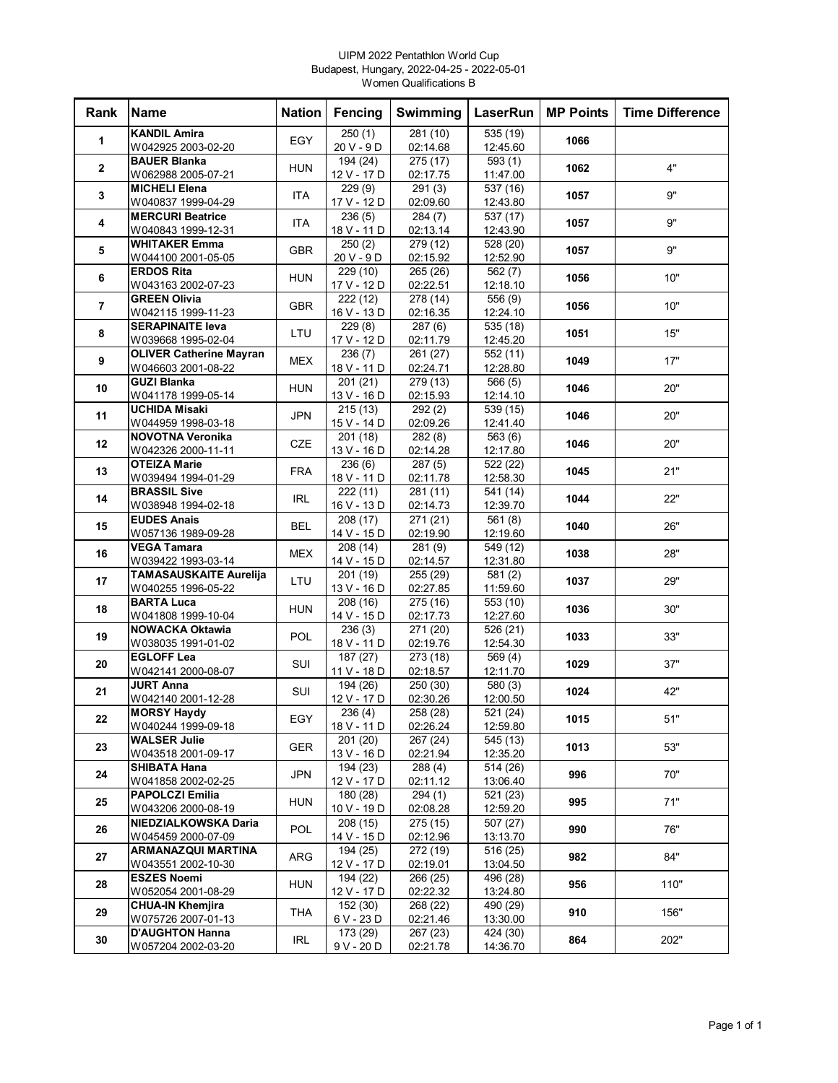### UIPM 2022 Pentathlon World Cup Budapest, Hungary, 2022-04-25 - 2022-05-01 Women Qualifications B

| Rank                    | <b>Name</b>                                   | <b>Nation</b> | Fencing                 | Swimming                          | LaserRun                          | <b>MP Points</b> | <b>Time Difference</b> |
|-------------------------|-----------------------------------------------|---------------|-------------------------|-----------------------------------|-----------------------------------|------------------|------------------------|
| 1                       | <b>KANDIL Amira</b>                           | EGY           | 250(1)                  | 281 (10)                          | 535 (19)                          | 1066             |                        |
|                         | W042925 2003-02-20                            |               | $20V - 9D$              | 02:14.68                          | 12:45.60                          |                  |                        |
| $\mathbf{2}$            | <b>BAUER Blanka</b><br>W062988 2005-07-21     | <b>HUN</b>    | 194 (24)<br>12 V - 17 D | $\overline{275}$ (17)<br>02:17.75 | 593(1)<br>11:47.00                | 1062             | 4"                     |
| 3                       | <b>MICHELI Elena</b><br>W040837 1999-04-29    | <b>ITA</b>    | 229(9)<br>17 V - 12 D   | 291(3)<br>02:09.60                | 537 (16)<br>12:43.80              | 1057             | 9"                     |
| 4                       | <b>MERCURI Beatrice</b>                       | ITA           | 236(5)                  | 284(7)                            | 537 (17)                          | 1057             | 9"                     |
|                         | W040843 1999-12-31                            |               | 18 V - 11 D             | 02:13.14                          | 12:43.90                          |                  |                        |
| 5                       | <b>WHITAKER Emma</b><br>W044100 2001-05-05    | <b>GBR</b>    | 250(2)<br>$20V - 9D$    | $\overline{279}$ (12)<br>02:15.92 | 528 (20)<br>12:52.90              | 1057             | 9"                     |
| 6                       | <b>ERDOS Rita</b>                             | <b>HUN</b>    | 229 (10)                | 265 (26)                          | 562(7)                            | 1056             | 10"                    |
| $\overline{\mathbf{r}}$ | W043163 2002-07-23<br><b>GREEN Olivia</b>     | <b>GBR</b>    | 17 V - 12 D<br>222 (12) | 02:22.51<br>278 (14)              | 12:18.10<br>556 (9)               | 1056             | 10"                    |
|                         | W042115 1999-11-23                            |               | 16 V - 13 D             | 02:16.35                          | 12:24.10                          |                  |                        |
| 8                       | <b>SERAPINAITE leva</b><br>W039668 1995-02-04 | LTU           | 229(8)<br>17 V - 12 D   | 287(6)<br>02:11.79                | 535 (18)<br>12:45.20              | 1051             | 15"                    |
| 9                       | <b>OLIVER Catherine Mayran</b>                | <b>MEX</b>    | 236(7)                  | 261 (27)                          | 552 (11)                          | 1049             | 17"                    |
|                         | W046603 2001-08-22<br><b>GUZI Blanka</b>      |               | 18 V - 11 D<br>201 (21) | 02:24.71<br>279 (13)              | 12:28.80<br>566(5)                |                  |                        |
| 10                      | W041178 1999-05-14                            | <b>HUN</b>    | 13 V - 16 D             | 02:15.93                          | 12:14.10                          | 1046             | 20"                    |
|                         | <b>UCHIDA Misaki</b>                          |               | 215(13)                 | 292(2)                            | 539 (15)                          |                  |                        |
| 11                      | W044959 1998-03-18                            | <b>JPN</b>    | 15 V - 14 D             | 02:09.26                          | 12:41.40                          | 1046             | 20"                    |
| 12                      | <b>NOVOTNA Veronika</b>                       | <b>CZE</b>    | 201 (18)                | 282(8)                            | 563 (6)                           | 1046             | 20"                    |
|                         | W042326 2000-11-11                            |               | 13 V - 16 D             | 02:14.28                          | 12:17.80                          |                  |                        |
| 13                      | <b>OTEIZA Marie</b><br>W039494 1994-01-29     | <b>FRA</b>    | 236(6)<br>18 V - 11 D   | 287(5)<br>02:11.78                | $\overline{522}$ (22)<br>12:58.30 | 1045             | 21"                    |
|                         | <b>BRASSIL Sive</b>                           |               | 222 (11)                | 281(11)                           | 541 (14)                          |                  |                        |
| 14                      | W038948 1994-02-18                            | <b>IRL</b>    | 16 V - 13 D             | 02:14.73                          | 12:39.70                          | 1044             | 22"                    |
| 15                      | <b>EUDES Anais</b>                            | <b>BEL</b>    | 208(17)                 | 271 (21)                          | 561(8)                            | 1040             | 26"                    |
|                         | W057136 1989-09-28                            |               | 14 V - 15 D             | 02:19.90                          | 12:19.60                          |                  |                        |
| 16                      | <b>VEGA Tamara</b><br>W039422 1993-03-14      | <b>MEX</b>    | 208 (14)<br>14 V - 15 D | 281(9)<br>02:14.57                | 549 (12)<br>12:31.80              | 1038             | 28"                    |
| 17                      | <b>TAMASAUSKAITE Aurelija</b>                 | LTU           | 201 (19)                | 255(29)                           | 581(2)                            | 1037             | 29"                    |
|                         | W040255 1996-05-22                            |               | 13 V - 16 D             | 02:27.85                          | 11:59.60                          |                  |                        |
| 18                      | <b>BARTA Luca</b>                             | <b>HUN</b>    | $\overline{208}$ (16)   | $\overline{275}$ (16)             | $\overline{553}$ (10)             | 1036             | 30"                    |
|                         | W041808 1999-10-04<br><b>NOWACKA Oktawia</b>  |               | 14 V - 15 D<br>236(3)   | 02:17.73<br>271 (20)              | 12:27.60<br>526 (21)              |                  |                        |
| 19                      | W038035 1991-01-02                            | POL           | 18 V - 11 D             | 02:19.76                          | 12:54.30                          | 1033             | 33"                    |
|                         | <b>EGLOFF Lea</b>                             |               | 187(27)                 | 273 (18)                          | 569(4)                            |                  |                        |
| 20                      | W042141 2000-08-07                            | SUI           | 11 V - 18 D             | 02:18.57                          | 12:11.70                          | 1029             | 37"                    |
| 21                      | <b>JURT Anna</b>                              | SUI           | 194 (26)                | 250(30)                           | $\overline{580}$ (3)              | 1024             | 42"                    |
|                         | W042140 2001-12-28<br><b>MORSY Haydy</b>      |               | 12 V - 17 D<br>236(4)   | 02:30.26<br>258(28)               | 12:00.50<br>521(24)               |                  |                        |
| 22                      | W040244 1999-09-18                            | EGY           | 18 V - 11 D             | 02:26.24                          | 12:59.80                          | 1015             | 51"                    |
|                         | <b>WALSER Julie</b>                           |               | 201(20)                 | 267 (24)                          | 545 (13)                          |                  |                        |
| 23                      | W043518 2001-09-17                            | <b>GER</b>    | 13 V - 16 D             | 02:21.94                          | 12:35.20                          | 1013             | 53"                    |
| 24                      | <b>SHIBATA Hana</b>                           | <b>JPN</b>    | 194 (23)                | 288(4)                            | 514 (26)                          | 996              | 70"                    |
|                         | W041858 2002-02-25                            |               | 12 V - 17 D             | 02:11.12                          | 13:06.40                          |                  |                        |
| 25                      | <b>PAPOLCZI Emilia</b><br>W043206 2000-08-19  | <b>HUN</b>    | 180 (28)<br>10 V - 19 D | 294(1)<br>02:08.28                | 521 (23)<br>12:59.20              | 995              | 71"                    |
|                         | NIEDZIALKOWSKA Daria                          |               | 208 (15)                | 275 (15)                          | 507 (27)                          |                  |                        |
| 26                      | W045459 2000-07-09                            | <b>POL</b>    | 14 V - 15 D             | 02:12.96                          | 13:13.70                          | 990              | 76"                    |
| 27                      | <b>ARMANAZQUI MARTINA</b>                     | ARG           | 194 (25)                | 272 (19)                          | 516 (25)                          | 982              | 84"                    |
|                         | W043551 2002-10-30                            |               | 12 V - 17 D             | 02:19.01                          | 13:04.50                          |                  |                        |
| 28                      | <b>ESZES Noemi</b>                            | <b>HUN</b>    | 194 (22)                | 266 (25)                          | 496 (28)                          | 956              | 110"                   |
|                         | W052054 2001-08-29                            |               | 12 V - 17 D             | 02:22.32                          | 13:24.80                          |                  |                        |
| 29                      | <b>CHUA-IN Khemjira</b><br>W075726 2007-01-13 | THA           | 152 (30)<br>6 V - 23 D  | 268 (22)<br>02:21.46              | 490 (29)<br>13:30.00              | 910              | 156"                   |
| 30                      | <b>D'AUGHTON Hanna</b>                        | <b>IRL</b>    | 173 (29)                | 267 (23)                          | 424 (30)                          | 864              | 202"                   |
|                         | W057204 2002-03-20                            |               | 9 V - 20 D              | 02:21.78                          | 14:36.70                          |                  |                        |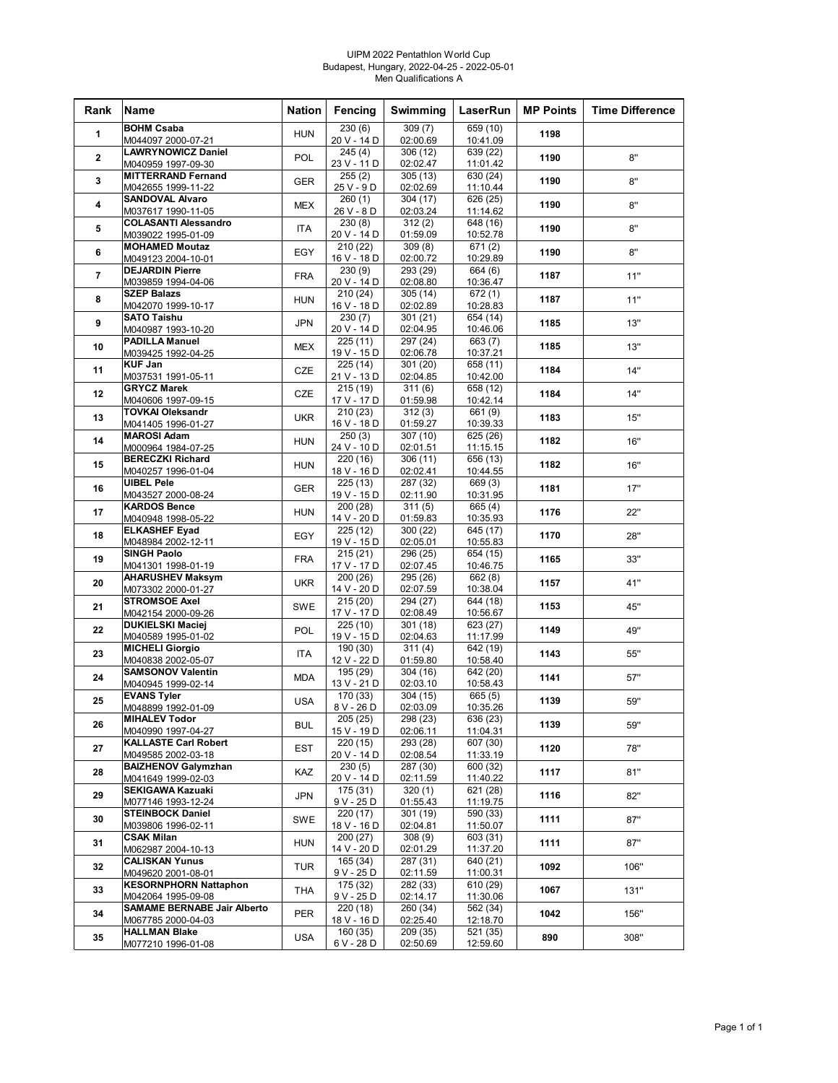#### UIPM 2022 Pentathlon World Cup Budapest, Hungary, 2022-04-25 - 2022-05-01 Men Qualifications A

| Rank           | <b>Name</b>                                              | <b>Nation</b> | Fencing                             | Swimming             | LaserRun             | <b>MP Points</b> | <b>Time Difference</b> |
|----------------|----------------------------------------------------------|---------------|-------------------------------------|----------------------|----------------------|------------------|------------------------|
| 1              | <b>BOHM Csaba</b><br>M044097 2000-07-21                  | <b>HUN</b>    | $\overline{230}$ (6)<br>20 V - 14 D | 309(7)<br>02:00.69   | 659 (10)<br>10:41.09 | 1198             |                        |
|                | <b>LAWRYNOWICZ Daniel</b>                                |               | 245 (4)                             | 306 (12)             | 639 (22)             |                  |                        |
| $\mathbf{2}$   | M040959 1997-09-30                                       | POL           | 23 V - 11 D                         | 02:02.47             | 11:01.42             | 1190             | 8"                     |
| 3              | <b>MITTERRAND Fernand</b><br>M042655 1999-11-22          | <b>GER</b>    | 255(2)<br>25 V - 9 D                | 305(13)<br>02:02.69  | 630 (24)<br>11:10.44 | 1190             | 8"                     |
| 4              | <b>SANDOVAL Alvaro</b><br>M037617 1990-11-05             | <b>MEX</b>    | 260(1)<br>$26V - 8D$                | 304 (17)<br>02:03.24 | 626 (25)<br>11:14.62 | 1190             | 8"                     |
| 5              | <b>COLASANTI Alessandro</b>                              | <b>ITA</b>    | 230(8)                              | 312(2)               | 648 (16)             | 1190             | 8"                     |
| 6              | M039022 1995-01-09<br><b>MOHAMED Moutaz</b>              | EGY           | 20 V - 14 D<br>210 (22)             | 01:59.09<br>309(8)   | 10:52.78<br>671 (2)  | 1190             | 8"                     |
|                | M049123 2004-10-01<br><b>DEJARDIN Pierre</b>             |               | 16 V - 18 D<br>230(9)               | 02:00.72<br>293 (29) | 10:29.89<br>664 (6)  |                  |                        |
| $\overline{7}$ | M039859 1994-04-06                                       | <b>FRA</b>    | 20 V - 14 D                         | 02:08.80             | 10:36.47             | 1187             | 11"                    |
| 8              | <b>SZEP Balazs</b><br>M042070 1999-10-17                 | HUN           | 210(24)<br>16 V - 18 D              | 305(14)<br>02:02.89  | 672 (1)<br>10:28.83  | 1187             | 11"                    |
| 9              | <b>SATO Taishu</b><br>M040987 1993-10-20                 | <b>JPN</b>    | 230(7)<br>20 V - 14 D               | 301 (21)<br>02:04.95 | 654 (14)<br>10:46.06 | 1185             | 13"                    |
| 10             | <b>PADILLA Manuel</b><br>M039425 1992-04-25              | <b>MEX</b>    | 225(11)<br>19 V - 15 D              | 297 (24)<br>02:06.78 | 663 (7)<br>10:37.21  | 1185             | 13"                    |
| 11             | <b>KUF Jan</b>                                           | <b>CZE</b>    | 225 (14)                            | 301 (20)             | 658 (11)             | 1184             | 14"                    |
|                | M037531 1991-05-11                                       |               | 21 V - 13 D                         | 02:04.85             | 10:42.00             |                  |                        |
| 12             | <b>GRYCZ Marek</b><br>M040606 1997-09-15                 | CZE           | 215(19)<br>17 V - 17 D              | 311(6)<br>01:59.98   | 658 (12)<br>10:42.14 | 1184             | 14"                    |
| 13             | <b>TOVKAI Oleksandr</b><br>M041405 1996-01-27            | <b>UKR</b>    | 210(23)<br>16 V - 18 D              | 312(3)<br>01:59.27   | 661 (9)<br>10:39.33  | 1183             | 15"                    |
| 14             | <b>MAROSI Adam</b><br>M000964 1984-07-25                 | <b>HUN</b>    | 250(3)<br>24 V - 10 D               | 307 (10)<br>02:01.51 | 625 (26)<br>11:15.15 | 1182             | 16"                    |
| 15             | <b>BERECZKI Richard</b>                                  | <b>HUN</b>    | 220 (16)                            | 306(11)              | 656 (13)             | 1182             | 16"                    |
| 16             | M040257 1996-01-04<br><b>UIBEL Pele</b>                  | <b>GER</b>    | 18 V - 16 D<br>225(13)              | 02:02.41<br>287(32)  | 10:44.55<br>669 (3)  | 1181             | 17"                    |
|                | M043527 2000-08-24<br><b>KARDOS Bence</b>                |               | 19 V - 15 D<br>200 (28)             | 02:11.90<br>311(5)   | 10:31.95<br>665 (4)  |                  |                        |
| 17             | M040948 1998-05-22                                       | <b>HUN</b>    | 14 V - 20 D                         | 01:59.83             | 10:35.93             | 1176             | 22"                    |
| 18             | <b>ELKASHEF Eyad</b><br>M048984 2002-12-11               | EGY           | 225 (12)<br>19 V - 15 D             | 300 (22)<br>02:05.01 | 645 (17)<br>10:55.83 | 1170             | 28"                    |
| 19             | <b>SINGH Paolo</b><br>M041301 1998-01-19                 | <b>FRA</b>    | 215(21)<br>17 V - 17 D              | 296 (25)<br>02:07.45 | 654 (15)<br>10:46.75 | 1165             | 33"                    |
| 20             | <b>AHARUSHEV Maksym</b><br>M073302 2000-01-27            | <b>UKR</b>    | 200(26)<br>14 V - 20 D              | 295 (26)<br>02:07.59 | 662 (8)<br>10:38.04  | 1157             | 41"                    |
| 21             | <b>STROMSOE Axel</b>                                     | <b>SWE</b>    | 215(20)                             | 294 (27)             | 644 (18)             | 1153             | 45"                    |
|                | M042154 2000-09-26<br><b>DUKIELSKI Maciej</b>            |               | 17 V - 17 D<br>225(10)              | 02:08.49<br>301 (18) | 10:56.67<br>623 (27) |                  |                        |
| 22             | M040589 1995-01-02<br><b>MICHELI Giorgio</b>             | <b>POL</b>    | 19 V - 15 D<br>190 (30)             | 02:04.63<br>311(4)   | 11:17.99<br>642 (19) | 1149             | 49"                    |
| 23             | M040838 2002-05-07                                       | ITA           | 12 V - 22 D                         | 01:59.80             | 10:58.40             | 1143             | 55"                    |
| 24             | <b>SAMSONOV Valentin</b><br>M040945 1999-02-14           | <b>MDA</b>    | 195 (29)<br>13 V - 21 D             | 304 (16)<br>02:03.10 | 642 (20)<br>10:58.43 | 1141             | 57"                    |
| 25             | <b>EVANS Tyler</b><br>M048899 1992-01-09                 | <b>USA</b>    | 170 (33)<br>8 V - 26 D              | 304 (15)<br>02:03.09 | 665 (5)<br>10:35.26  | 1139             | 59"                    |
| 26             | <b>MIHALEV Todor</b><br>M040990 1997-04-27               | <b>BUL</b>    | 205 (25)<br>15 V - 19 D             | 298 (23)<br>02:06.11 | 636 (23)<br>11:04.31 | 1139             | 59"                    |
| 27             | <b>KALLASTE Carl Robert</b>                              | EST           | 220 (15)                            | 293 (28)             | 607(30)              | 1120             | 78"                    |
| 28             | M049585 2002-03-18<br><b>BAIZHENOV Galymzhan</b>         | KAZ           | 20 V - 14 D<br>230(5)               | 02:08.54<br>287 (30) | 11:33.19<br>600 (32) | 1117             | 81"                    |
|                | M041649 1999-02-03<br><b>SEKIGAWA Kazuaki</b>            |               | 20 V - 14 D<br>175 (31)             | 02:11.59<br>320(1)   | 11:40.22<br>621 (28) |                  |                        |
| 29             | M077146 1993-12-24                                       | JPN           | $9V - 25D$                          | 01:55.43             | 11:19.75             | 1116             | 82"                    |
| 30             | <b>STEINBOCK Daniel</b><br>M039806 1996-02-11            | SWE           | 220 (17)<br>18 V - 16 D             | 301 (19)<br>02:04.81 | 590 (33)<br>11:50.07 | 1111             | 87"                    |
| 31             | <b>CSAK Milan</b><br>M062987 2004-10-13                  | HUN           | 200(27)<br>14 V - 20 D              | 308(9)<br>02:01.29   | 603 (31)<br>11:37.20 | 1111             | 87"                    |
| 32             | <b>CALISKAN Yunus</b><br>M049620 2001-08-01              | TUR           | 165 (34)<br>9 V - 25 D              | 287 (31)<br>02:11.59 | 640 (21)<br>11:00.31 | 1092             | 106"                   |
| 33             | <b>KESORNPHORN Nattaphon</b>                             | THA           | 175 (32)                            | 282 (33)             | 610 (29)             | 1067             | 131"                   |
| 34             | M042064 1995-09-08<br><b>SAMAME BERNABE Jair Alberto</b> | PER           | 9 V - 25 D<br>220 (18)              | 02:14.17<br>260 (34) | 11:30.06<br>562 (34) | 1042             | 156"                   |
|                | M067785 2000-04-03<br><b>HALLMAN Blake</b>               |               | 18 V - 16 D<br>160 (35)             | 02:25.40<br>209 (35) | 12:18.70<br>521 (35) |                  |                        |
| 35             | M077210 1996-01-08                                       | <b>USA</b>    | 6 V - 28 D                          | 02:50.69             | 12:59.60             | 890              | 308"                   |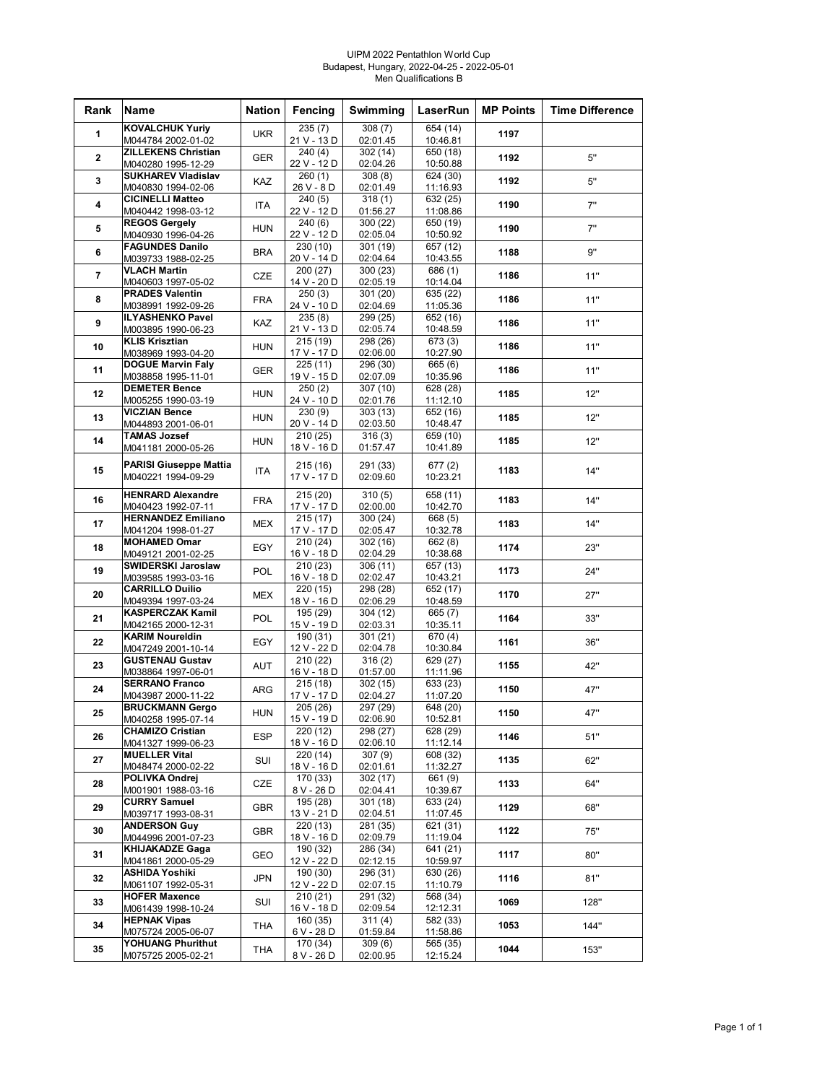#### UIPM 2022 Pentathlon World Cup Budapest, Hungary, 2022-04-25 - 2022-05-01 Men Qualifications B

| Rank             | Name                                                | <b>Nation</b> | Fencing                              | Swimming             | LaserRun             | <b>MP Points</b> | <b>Time Difference</b> |
|------------------|-----------------------------------------------------|---------------|--------------------------------------|----------------------|----------------------|------------------|------------------------|
| 1                | <b>KOVALCHUK Yuriy</b><br>M044784 2002-01-02        | <b>UKR</b>    | 235(7)<br>21 V - 13 D                | 308(7)<br>02:01.45   | 654 (14)<br>10:46.81 | 1197             |                        |
|                  | <b>ZILLEKENS Christian</b>                          |               | 240 (4)                              | 302 (14)             | 650 (18)             |                  |                        |
| $\mathbf{2}$     | M040280 1995-12-29                                  | <b>GER</b>    | 22 V - 12 D                          | 02:04.26             | 10:50.88             | 1192             | 5"                     |
| 3                | <b>SUKHAREV Vladislav</b><br>M040830 1994-02-06     | KAZ           | 260(1)<br>26 V - 8 D                 | 308(8)<br>02:01.49   | 624 (30)<br>11:16.93 | 1192             | 5"                     |
| 4                | <b>CICINELLI Matteo</b>                             | ITA           | 240(5)                               | 318(1)               | 632 (25)             | 1190             | 7"                     |
|                  | M040442 1998-03-12                                  |               | 22 V - 12 D                          | 01:56.27             | 11:08.86             |                  |                        |
| 5                | <b>REGOS Gergely</b><br>M040930 1996-04-26          | <b>HUN</b>    | 240(6)<br>22 V - 12 D                | 300 (22)<br>02:05.04 | 650 (19)<br>10:50.92 | 1190             | 7"                     |
| 6                | <b>FAGUNDES Danilo</b>                              | <b>BRA</b>    | 230 (10)                             | 301 (19)             | 657 (12)             | 1188             | 9"                     |
|                  | M039733 1988-02-25<br><b>VLACH Martin</b>           |               | 20 V - 14 D<br>200 (27)              | 02:04.64<br>300 (23) | 10:43.55<br>686 (1)  |                  |                        |
| 7                | M040603 1997-05-02                                  | CZE           | 14 V - 20 D                          | 02:05.19             | 10:14.04             | 1186             | 11"                    |
| 8                | <b>PRADES Valentin</b><br>M038991 1992-09-26        | <b>FRA</b>    | 250(3)<br>24 V - 10 D                | 301 (20)<br>02:04.69 | 635 (22)<br>11:05.36 | 1186             | 11"                    |
| $\boldsymbol{9}$ | <b>ILYASHENKO Pavel</b>                             | KAZ           | 235(8)                               | 299 (25)             | 652 (16)             | 1186             | 11"                    |
|                  | M003895 1990-06-23<br><b>KLIS Krisztian</b>         |               | 21 V - 13 D<br>215 (19)              | 02:05.74<br>298 (26) | 10:48.59<br>673 (3)  |                  |                        |
| 10               | M038969 1993-04-20                                  | <b>HUN</b>    | 17 V - 17 D                          | 02:06.00             | 10:27.90             | 1186             | 11"                    |
| 11               | <b>DOGUE Marvin Faly</b><br>M038858 1995-11-01      | <b>GER</b>    | 225(11)<br>19 V - 15 D               | 296 (30)<br>02:07.09 | 665 (6)<br>10:35.96  | 1186             | 11"                    |
| 12               | <b>DEMETER Bence</b>                                | <b>HUN</b>    | 250(2)                               | 307(10)              | 628 (28)             | 1185             | 12"                    |
|                  | M005255 1990-03-19<br><b>VICZIAN Bence</b>          |               | 24 V - 10 D<br>230(9)                | 02:01.76             | 11:12.10             |                  |                        |
| 13               | M044893 2001-06-01                                  | <b>HUN</b>    | 20 V - 14 D                          | 303(13)<br>02:03.50  | 652 (16)<br>10:48.47 | 1185             | 12"                    |
| 14               | <b>TAMAS Jozsef</b>                                 | <b>HUN</b>    | 210 (25)                             | 316(3)               | 659 (10)             | 1185             | 12"                    |
|                  | M041181 2000-05-26                                  |               | 18 V - 16 D                          | 01:57.47             | 10:41.89             |                  |                        |
| 15               | <b>PARISI Giuseppe Mattia</b><br>M040221 1994-09-29 | <b>ITA</b>    | 215 (16)<br>17 V - 17 D              | 291 (33)<br>02:09.60 | 677 (2)<br>10:23.21  | 1183             | 14"                    |
|                  | <b>HENRARD Alexandre</b>                            |               | 215 (20)                             | 310(5)               | 658 (11)             |                  |                        |
| 16               | M040423 1992-07-11                                  | <b>FRA</b>    | 17 V - 17 D                          | 02:00.00             | 10:42.70             | 1183             | 14"                    |
| 17               | <b>HERNANDEZ Emiliano</b><br>M041204 1998-01-27     | <b>MEX</b>    | $\overline{215}$ (17)<br>17 V - 17 D | 300 (24)<br>02:05.47 | 668 (5)<br>10:32.78  | 1183             | 14"                    |
| 18               | <b>MOHAMED Omar</b>                                 | EGY           | 210 (24)                             | 302 (16)             | 662 (8)              | 1174             | 23"                    |
|                  | M049121 2001-02-25<br>SWIDERSKI Jaroslaw            |               | 16 V - 18 D<br>210 (23)              | 02:04.29<br>306 (11) | 10:38.68<br>657 (13) |                  |                        |
| 19               | M039585 1993-03-16                                  | POL           | 16 V - 18 D                          | 02:02.47             | 10:43.21             | 1173             | 24"                    |
| 20               | <b>CARRILLO Duilio</b><br>M049394 1997-03-24        | <b>MEX</b>    | 220 (15)<br>18 V - 16 D              | 298 (28)<br>02:06.29 | 652 (17)<br>10:48.59 | 1170             | 27"                    |
| 21               | <b>KASPERCZAK Kamil</b>                             | <b>POL</b>    | 195 (29)                             | 304 (12)             | 665 (7)              | 1164             | 33"                    |
|                  | M042165 2000-12-31<br><b>KARIM Noureldin</b>        |               | 15 V - 19 D<br>190 (31)              | 02:03.31<br>301(21)  | 10:35.11<br>670 (4)  |                  |                        |
| 22               | M047249 2001-10-14                                  | EGY           | 12 V - 22 D                          | 02:04.78             | 10:30.84             | 1161             | 36"                    |
| 23               | <b>GUSTENAU Gustav</b>                              | AUT           | 210 (22)                             | 316(2)               | 629 (27)             | 1155             | 42"                    |
| 24               | M038864 1997-06-01<br><b>SERRANO Franco</b>         |               | 16 V - 18 D<br>215(18)               | 01:57.00<br>302 (15) | 11:11.96<br>633 (23) |                  |                        |
|                  | M043987 2000-11-22                                  | ARG           | 17 V - 17 D                          | 02:04.27             | 11:07.20             | 1150             | 47"                    |
| 25               | <b>BRUCKMANN Gergo</b><br>M040258 1995-07-14        | HUN           | 205 (26)<br>15 V - 19 D              | 297 (29)<br>02:06.90 | 648(20)<br>10:52.81  | 1150             | 4/                     |
| 26               | <b>CHAMIZO Cristian</b>                             | <b>ESP</b>    | 220 (12)                             | 298 (27)             | 628 (29)             | 1146             | 51"                    |
|                  | M041327 1999-06-23<br><b>MUELLER Vital</b>          |               | 18 V - 16 D<br>220 (14)              | 02:06.10<br>307(9)   | 11:12.14<br>608 (32) |                  |                        |
| 27               | M048474 2000-02-22                                  | SUI           | 18 V - 16 D                          | 02:01.61             | 11:32.27             | 1135             | 62"                    |
| 28               | POLIVKA Ondrej<br>M001901 1988-03-16                | CZE           | 170 (33)<br>8 V - 26 D               | 302 (17)<br>02:04.41 | 661 (9)<br>10:39.67  | 1133             | 64"                    |
| 29               | <b>CURRY Samuel</b>                                 | <b>GBR</b>    | 195 (28)                             | 301 (18)             | 633 (24)             | 1129             | 68"                    |
|                  | M039717 1993-08-31<br><b>ANDERSON Guy</b>           |               | 13 V - 21 D<br>220 (13)              | 02:04.51<br>281 (35) | 11:07.45<br>621 (31) |                  |                        |
| 30               | M044996 2001-07-23                                  | <b>GBR</b>    | 18 V - 16 D                          | 02:09.79             | 11:19.04             | 1122             | 75"                    |
| 31               | <b>KHIJAKADZE Gaga</b><br>M041861 2000-05-29        | GEO           | 190 (32)<br>12 V - 22 D              | 286 (34)<br>02:12.15 | 641 (21)<br>10:59.97 | 1117             | 80"                    |
| 32               | ASHIDA Yoshiki                                      | JPN           | 190 (30)                             | 296 (31)             | 630 (26)             | 1116             | 81"                    |
|                  | M061107 1992-05-31<br><b>HOFER Maxence</b>          |               | 12 V - 22 D<br>210(21)               | 02:07.15<br>291 (32) | 11:10.79<br>568 (34) |                  |                        |
| 33               | M061439 1998-10-24                                  | SUI           | 16 V - 18 D                          | 02:09.54             | 12:12.31             | 1069             | 128"                   |
| 34               | <b>HEPNAK Vipas</b>                                 | THA           | 160 (35)                             | 311(4)<br>01:59.84   | 582 (33)             | 1053             | 144"                   |
|                  | M075724 2005-06-07<br>YOHUANG Phurithut             |               | 6 V - 28 D<br>170 (34)               | 309(6)               | 11:58.86<br>565 (35) |                  |                        |
| 35               | M075725 2005-02-21                                  | <b>THA</b>    | 8 V - 26 D                           | 02:00.95             | 12:15.24             | 1044             | 153"                   |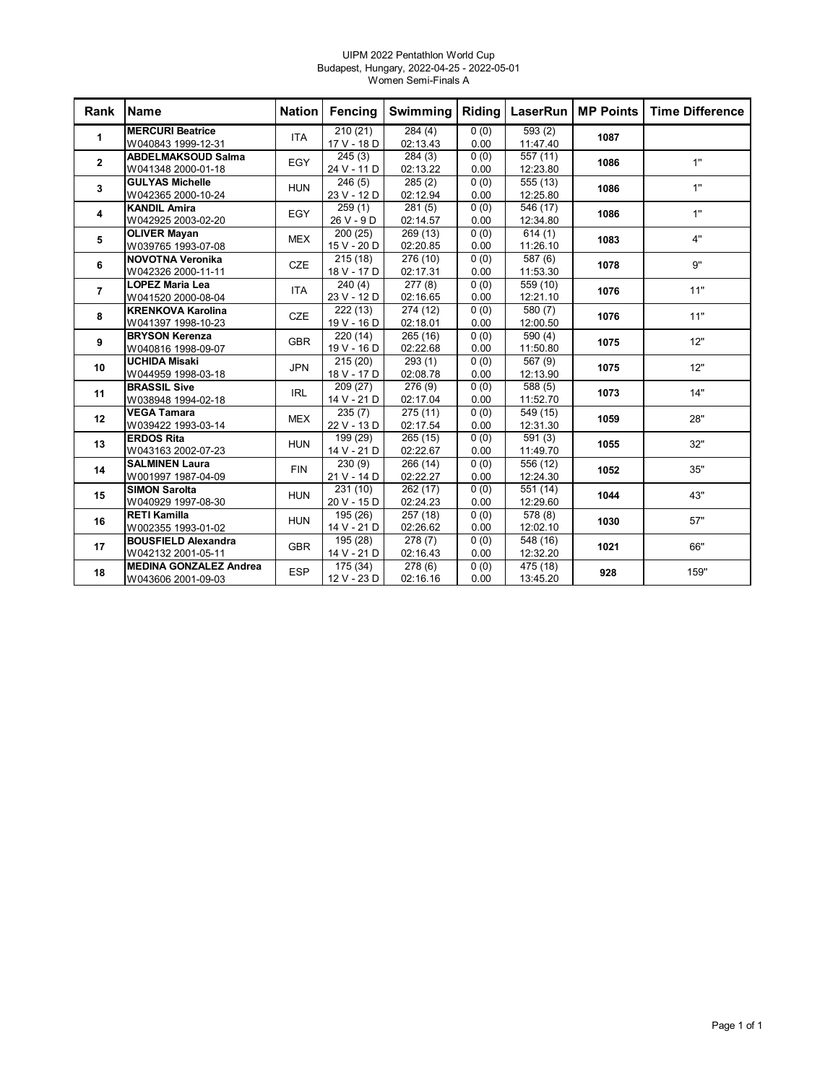#### UIPM 2022 Pentathlon World Cup Budapest, Hungary, 2022-04-25 - 2022-05-01 Women Semi-Finals A

| Rank           | <b>Name</b>                                         |            | Nation Fencing          | Swimming                        | Riding       |                                  | LaserRun   MP Points | <b>Time Difference</b> |
|----------------|-----------------------------------------------------|------------|-------------------------|---------------------------------|--------------|----------------------------------|----------------------|------------------------|
| 1              | <b>MERCURI Beatrice</b><br>W040843 1999-12-31       | <b>ITA</b> | 210(21)<br>17 V - 18 D  | 284(4)<br>02:13.43              | 0(0)<br>0.00 | 593(2)<br>11:47.40               | 1087                 |                        |
| $\mathbf{2}$   | <b>ABDELMAKSOUD Salma</b><br>W041348 2000-01-18     | <b>EGY</b> | 245(3)<br>24 V - 11 D   | 284(3)<br>02:13.22              | 0(0)<br>0.00 | 557 (11)<br>12:23.80             | 1086                 | 1"                     |
| 3              | <b>GULYAS Michelle</b><br>W042365 2000-10-24        | <b>HUN</b> | 246(5)<br>23 V - 12 D   | 285(2)<br>02:12.94              | 0(0)<br>0.00 | 555 (13)<br>12:25.80             | 1086                 | 1"                     |
| 4              | <b>KANDIL Amira</b><br>W042925 2003-02-20           | <b>EGY</b> | 259(1)<br>26 V - 9 D    | 281(5)<br>02:14.57              | 0(0)<br>0.00 | 546 (17)<br>12:34.80             | 1086                 | 1"                     |
| 5              | <b>OLIVER Mayan</b><br>W039765 1993-07-08           | <b>MEX</b> | 200 (25)<br>15 V - 20 D | 269 (13)<br>02:20.85            | 0(0)<br>0.00 | 614(1)<br>11:26.10               | 1083                 | 4"                     |
| 6              | <b>NOVOTNA Veronika</b><br>W042326 2000-11-11       | <b>CZE</b> | 215(18)<br>18 V - 17 D  | 276 (10)<br>02:17.31            | 0(0)<br>0.00 | 587 (6)<br>11:53.30              | 1078                 | 9"                     |
| $\overline{7}$ | <b>LOPEZ Maria Lea</b><br>W041520 2000-08-04        | <b>ITA</b> | 240(4)<br>23 V - 12 D   | 277(8)<br>02:16.65              | 0(0)<br>0.00 | 559 (10)<br>12:21.10             | 1076                 | 11"                    |
| 8              | <b>KRENKOVA Karolina</b><br>W041397 1998-10-23      | <b>CZE</b> | 222 (13)<br>19 V - 16 D | 274 (12)<br>02:18.01            | 0(0)<br>0.00 | 580 (7)<br>12:00.50              | 1076                 | 11"                    |
| 9              | <b>BRYSON Kerenza</b><br>W040816 1998-09-07         | <b>GBR</b> | 220 (14)<br>19 V - 16 D | 265 (16)<br>02:22.68            | 0(0)<br>0.00 | 590 (4)<br>11:50.80              | 1075                 | 12"                    |
| 10             | <b>UCHIDA Misaki</b><br>W044959 1998-03-18          | <b>JPN</b> | 215(20)<br>18 V - 17 D  | 293(1)<br>02:08.78              | 0(0)<br>0.00 | 567 (9)<br>12:13.90              | 1075                 | 12"                    |
| 11             | <b>BRASSIL Sive</b><br>W038948 1994-02-18           | <b>IRL</b> | 209 (27)<br>14 V - 21 D | 276 (9)<br>02:17.04             | 0(0)<br>0.00 | $\overline{588}$ (5)<br>11:52.70 | 1073                 | 14"                    |
| 12             | <b>VEGA Tamara</b><br>W039422 1993-03-14            | <b>MEX</b> | 235(7)<br>22 V - 13 D   | 275(11)<br>02:17.54             | 0(0)<br>0.00 | 549 (15)<br>12:31.30             | 1059                 | 28"                    |
| 13             | <b>ERDOS Rita</b><br>W043163 2002-07-23             | <b>HUN</b> | 199 (29)<br>14 V - 21 D | 265 (15)<br>02:22.67            | 0(0)<br>0.00 | 591(3)<br>11:49.70               | 1055                 | 32"                    |
| 14             | <b>SALMINEN Laura</b><br>W001997 1987-04-09         | <b>FIN</b> | 230(9)<br>21 V - 14 D   | 266 (14)<br>02:22.27            | 0(0)<br>0.00 | 556 (12)<br>12:24.30             | 1052                 | 35"                    |
| 15             | <b>SIMON Sarolta</b><br>W040929 1997-08-30          | <b>HUN</b> | 231(10)<br>20 V - 15 D  | 262 (17)<br>02:24.23            | 0(0)<br>0.00 | 551 (14)<br>12:29.60             | 1044                 | 43"                    |
| 16             | <b>RETI Kamilla</b><br>W002355 1993-01-02           | <b>HUN</b> | 195 (26)<br>14 V - 21 D | 257(18)<br>02:26.62             | 0(0)<br>0.00 | 578 (8)<br>12:02.10              | 1030                 | 57"                    |
| 17             | <b>BOUSFIELD Alexandra</b><br>W042132 2001-05-11    | <b>GBR</b> | 195 (28)<br>14 V - 21 D | 278(7)<br>02:16.43              | 0(0)<br>0.00 | 548 (16)<br>12:32.20             | 1021                 | 66"                    |
| 18             | <b>MEDINA GONZALEZ Andrea</b><br>W043606 2001-09-03 | <b>ESP</b> | 175 (34)<br>12 V - 23 D | $\overline{278(6)}$<br>02:16.16 | 0(0)<br>0.00 | 475 (18)<br>13:45.20             | 928                  | 159"                   |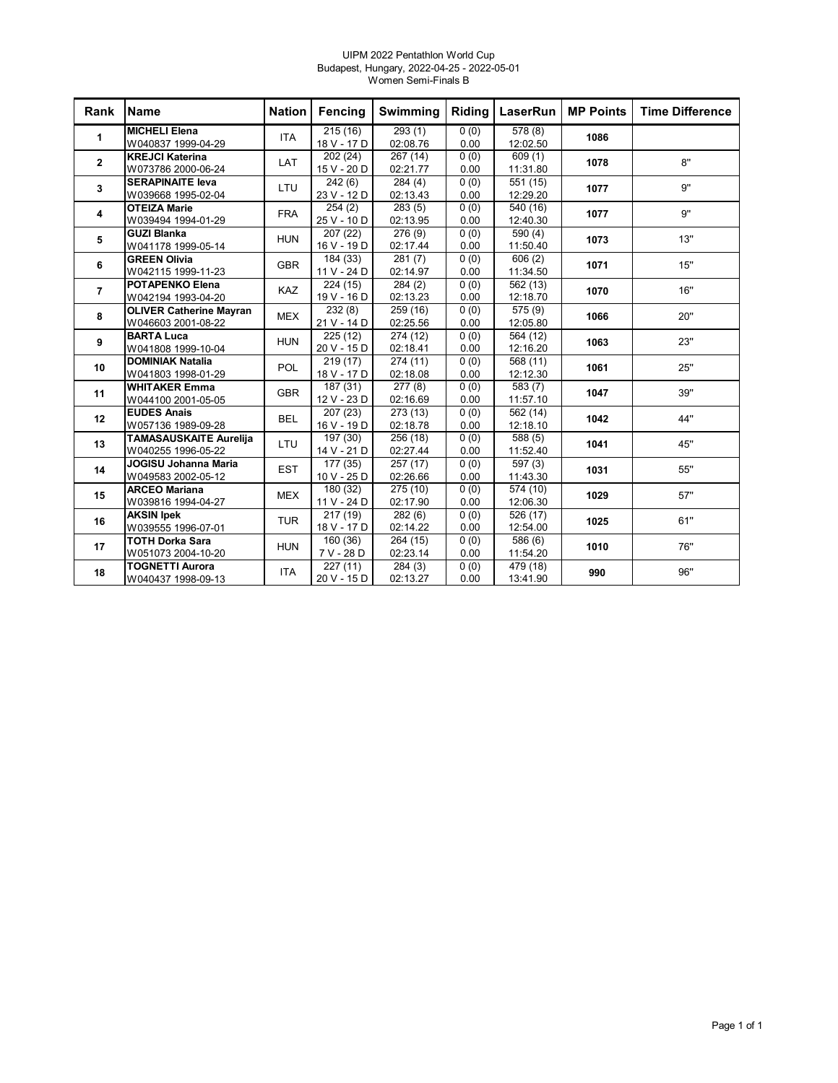#### UIPM 2022 Pentathlon World Cup Budapest, Hungary, 2022-04-25 - 2022-05-01 Women Semi-Finals B

| <b>Rank</b>    | Name                                                 | <b>Nation</b> | Fencing                 | Swimming             | Riding       | <b>LaserRun</b>                  | <b>MP Points</b> | <b>Time Difference</b> |
|----------------|------------------------------------------------------|---------------|-------------------------|----------------------|--------------|----------------------------------|------------------|------------------------|
| 1              | <b>MICHELI Elena</b><br>W040837 1999-04-29           | <b>ITA</b>    | 215(16)<br>18 V - 17 D  | 293(1)<br>02:08.76   | 0(0)<br>0.00 | 578(8)<br>12:02.50               | 1086             |                        |
| $\mathbf{2}$   | <b>KREJCI Katerina</b><br>W073786 2000-06-24         | LAT           | 202(24)<br>15 V - 20 D  | 267(14)<br>02:21.77  | 0(0)<br>0.00 | 609(1)<br>11:31.80               | 1078             | 8"                     |
| $\mathbf{3}$   | <b>SERAPINAITE leva</b><br>W039668 1995-02-04        | LTU           | 242(6)<br>23 V - 12 D   | 284(4)<br>02:13.43   | 0(0)<br>0.00 | 551 (15)<br>12:29.20             | 1077             | 9"                     |
| 4              | <b>OTEIZA Marie</b><br>W039494 1994-01-29            | <b>FRA</b>    | 254(2)<br>25 V - 10 D   | 283(5)<br>02:13.95   | 0(0)<br>0.00 | 540 (16)<br>12:40.30             | 1077             | 9"                     |
| 5              | <b>GUZI Blanka</b><br>W041178 1999-05-14             | <b>HUN</b>    | 207 (22)<br>16 V - 19 D | 276 (9)<br>02:17.44  | 0(0)<br>0.00 | 590(4)<br>11:50.40               | 1073             | 13"                    |
| 6              | <b>GREEN Olivia</b><br>W042115 1999-11-23            | <b>GBR</b>    | 184 (33)<br>11 V - 24 D | 281(7)<br>02:14.97   | 0(0)<br>0.00 | 606(2)<br>11:34.50               | 1071             | 15"                    |
| $\overline{7}$ | <b>POTAPENKO Elena</b><br>W042194 1993-04-20         | <b>KAZ</b>    | 224 (15)<br>19 V - 16 D | 284(2)<br>02:13.23   | 0(0)<br>0.00 | 562 (13)<br>12:18.70             | 1070             | 16"                    |
| 8              | <b>OLIVER Catherine Mayran</b><br>W046603 2001-08-22 | <b>MEX</b>    | 232(8)<br>21 V - 14 D   | 259 (16)<br>02:25.56 | 0(0)<br>0.00 | 575 (9)<br>12:05.80              | 1066             | 20"                    |
| 9              | <b>BARTA Luca</b><br>W041808 1999-10-04              | <b>HUN</b>    | 225(12)<br>20 V - 15 D  | 274 (12)<br>02:18.41 | 0(0)<br>0.00 | 564 (12)<br>12:16.20             | 1063             | 23"                    |
| 10             | <b>DOMINIAK Natalia</b><br>W041803 1998-01-29        | <b>POL</b>    | 219(17)<br>18 V - 17 D  | 274(11)<br>02:18.08  | 0(0)<br>0.00 | 568 (11)<br>12:12.30             | 1061             | 25"                    |
| 11             | <b>WHITAKER Emma</b><br>W044100 2001-05-05           | <b>GBR</b>    | 187 (31)<br>12 V - 23 D | 277(8)<br>02:16.69   | 0(0)<br>0.00 | 583 (7)<br>11:57.10              | 1047             | 39"                    |
| 12             | <b>EUDES Anais</b><br>W057136 1989-09-28             | <b>BEL</b>    | 207(23)<br>16 V - 19 D  | 273(13)<br>02:18.78  | 0(0)<br>0.00 | 562 (14)<br>12:18.10             | 1042             | 44"                    |
| 13             | <b>TAMASAUSKAITE Aurelija</b><br>W040255 1996-05-22  | LTU           | 197 (30)<br>14 V - 21 D | 256 (18)<br>02:27.44 | 0(0)<br>0.00 | 588 (5)<br>11:52.40              | 1041             | 45"                    |
| 14             | <b>JOGISU Johanna Maria</b><br>W049583 2002-05-12    | <b>EST</b>    | 177 (35)<br>10 V - 25 D | 257 (17)<br>02:26.66 | 0(0)<br>0.00 | $\overline{597}$ (3)<br>11:43.30 | 1031             | 55"                    |
| 15             | <b>ARCEO Mariana</b><br>W039816 1994-04-27           | <b>MEX</b>    | 180(32)<br>11 V - 24 D  | 275(10)<br>02:17.90  | 0(0)<br>0.00 | 574(10)<br>12:06.30              | 1029             | 57"                    |
| 16             | <b>AKSIN Ipek</b><br>W039555 1996-07-01              | <b>TUR</b>    | 217(19)<br>18 V - 17 D  | 282(6)<br>02:14.22   | 0(0)<br>0.00 | 526 (17)<br>12:54.00             | 1025             | 61"                    |
| 17             | <b>TOTH Dorka Sara</b><br>W051073 2004-10-20         | <b>HUN</b>    | 160(36)<br>7 V - 28 D   | 264 (15)<br>02:23.14 | 0(0)<br>0.00 | 586 (6)<br>11:54.20              | 1010             | 76"                    |
| 18             | <b>TOGNETTI Aurora</b><br>W040437 1998-09-13         | <b>ITA</b>    | 227(11)<br>20 V - 15 D  | 284(3)<br>02:13.27   | 0(0)<br>0.00 | 479 (18)<br>13:41.90             | 990              | 96"                    |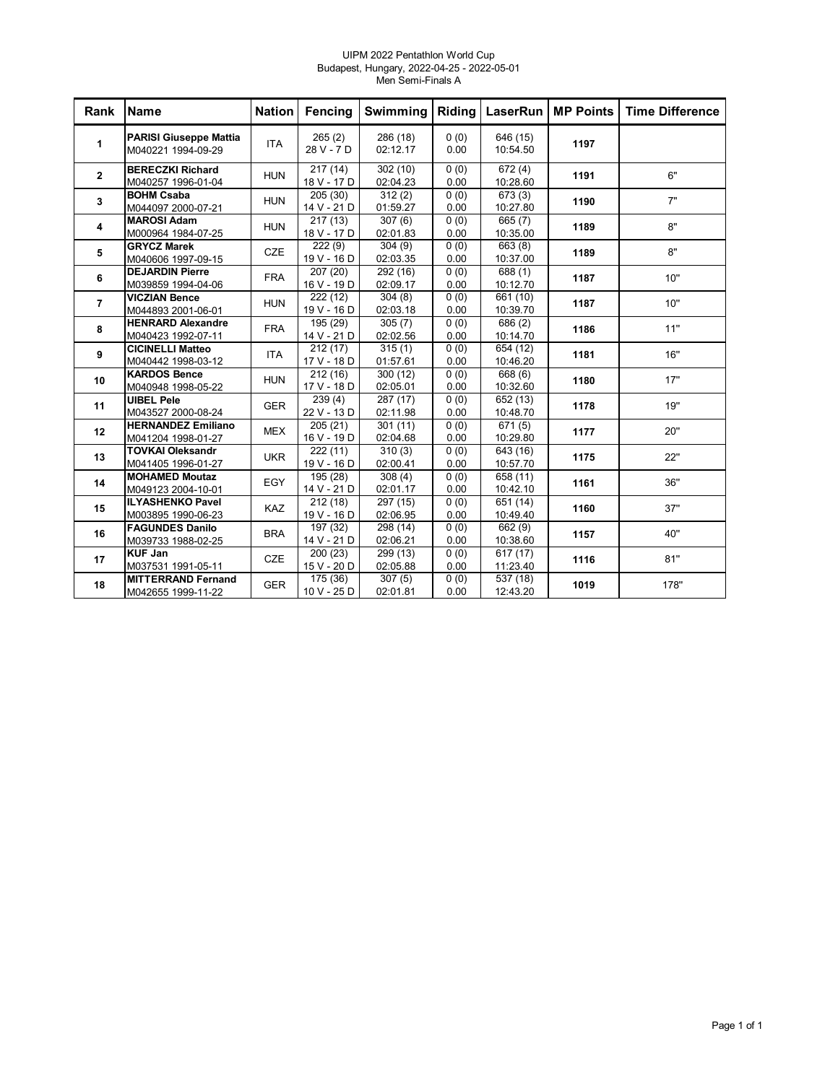#### UIPM 2022 Pentathlon World Cup Budapest, Hungary, 2022-04-25 - 2022-05-01 Men Semi-Finals A

| Rank           | <b>Name</b>                                         | <b>Nation</b> | <b>Fencing</b>                       | Swimming             | Riding                    | <b>LaserRun</b>                  | <b>MP Points</b> | <b>Time Difference</b> |
|----------------|-----------------------------------------------------|---------------|--------------------------------------|----------------------|---------------------------|----------------------------------|------------------|------------------------|
| 1              | <b>PARISI Giuseppe Mattia</b><br>M040221 1994-09-29 | <b>ITA</b>    | 265(2)<br>28 V - 7 D                 | 286 (18)<br>02:12.17 | (0)<br>0.00               | 646 (15)<br>10:54.50             | 1197             |                        |
| $\overline{2}$ | <b>BERECZKI Richard</b><br>M040257 1996-01-04       | <b>HUN</b>    | 217(14)<br>18 V - 17 D               | 302 (10)<br>02:04.23 | 0(0)<br>0.00              | $\overline{672}$ (4)<br>10:28.60 | 1191             | 6"                     |
| 3              | <b>BOHM Csaba</b><br>M044097 2000-07-21             | <b>HUN</b>    | 205(30)<br>14 V - 21 D               | 312(2)<br>01:59.27   | 0(0)<br>0.00              | 673(3)<br>10:27.80               | 1190             | 7"                     |
| 4              | <b>MAROSI Adam</b><br>M000964 1984-07-25            | <b>HUN</b>    | 217(13)<br>18 V - 17 D               | 307(6)<br>02:01.83   | 0(0)<br>0.00              | 665 (7)<br>10:35.00              | 1189             | 8"                     |
| 5              | <b>GRYCZ Marek</b><br>M040606 1997-09-15            | CZE           | $\overline{222}$ (9)<br>19 V - 16 D  | 304(9)<br>02:03.35   | $\overline{0(0)}$<br>0.00 | 663(8)<br>10:37.00               | 1189             | 8"                     |
| 6              | <b>DEJARDIN Pierre</b><br>M039859 1994-04-06        | <b>FRA</b>    | 207 (20)<br>16 V - 19 D              | 292 (16)<br>02:09.17 | 0(0)<br>0.00              | 688 (1)<br>10:12.70              | 1187             | 10"                    |
| $\overline{7}$ | <b>VICZIAN Bence</b><br>M044893 2001-06-01          | <b>HUN</b>    | 222 (12)<br>19 V - 16 D              | 304(8)<br>02:03.18   | 0(0)<br>0.00              | 661 (10)<br>10:39.70             | 1187             | 10"                    |
| 8              | <b>HENRARD Alexandre</b><br>M040423 1992-07-11      | <b>FRA</b>    | 195 (29)<br>14 V - 21 D              | 305(7)<br>02:02.56   | 0(0)<br>0.00              | 686 (2)<br>10:14.70              | 1186             | 11"                    |
| 9              | <b>CICINELLI Matteo</b><br>M040442 1998-03-12       | <b>ITA</b>    | $\overline{212}$ (17)<br>17 V - 18 D | 315(1)<br>01:57.61   | 0(0)<br>0.00              | 654 (12)<br>10:46.20             | 1181             | 16"                    |
| 10             | <b>KARDOS Bence</b><br>M040948 1998-05-22           | <b>HUN</b>    | 212(16)<br>17 V - 18 D               | 300 (12)<br>02:05.01 | 0(0)<br>0.00              | 668 (6)<br>10:32.60              | 1180             | 17"                    |
| 11             | <b>UIBEL Pele</b><br>M043527 2000-08-24             | <b>GER</b>    | 239(4)<br>22 V - 13 D                | 287 (17)<br>02:11.98 | 0(0)<br>0.00              | 652 (13)<br>10:48.70             | 1178             | 19"                    |
| 12             | <b>HERNANDEZ Emiliano</b><br>M041204 1998-01-27     | <b>MEX</b>    | 205(21)<br>16 V - 19 D               | 301(11)<br>02:04.68  | 0(0)<br>0.00              | 671(5)<br>10:29.80               | 1177             | 20"                    |
| 13             | <b>TOVKAI Oleksandr</b><br>M041405 1996-01-27       | <b>UKR</b>    | 222(11)<br>19 V - 16 D               | 310(3)<br>02:00.41   | 0(0)<br>0.00              | $\sqrt{643(16)}$<br>10:57.70     | 1175             | 22"                    |
| 14             | <b>MOHAMED Moutaz</b><br>M049123 2004-10-01         | EGY           | 195 (28)<br>14 V - 21 D              | 308(4)<br>02:01.17   | 0(0)<br>0.00              | 658 (11)<br>10:42.10             | 1161             | 36"                    |
| 15             | <b>ILYASHENKO Pavel</b><br>M003895 1990-06-23       | KAZ           | 212(18)<br>19 V - 16 D               | 297 (15)<br>02:06.95 | 0(0)<br>0.00              | 651 (14)<br>10:49.40             | 1160             | 37"                    |
| 16             | <b>FAGUNDES Danilo</b><br>M039733 1988-02-25        | <b>BRA</b>    | 197 (32)<br>14 V - 21 D              | 298(14)<br>02:06.21  | 0(0)<br>0.00              | 662 (9)<br>10:38.60              | 1157             | 40"                    |
| 17             | <b>KUF Jan</b><br>M037531 1991-05-11                | CZE           | 200(23)<br>15 V - 20 D               | 299(13)<br>02:05.88  | 0(0)<br>0.00              | 617(17)<br>11:23.40              | 1116             | 81"                    |
| 18             | <b>MITTERRAND Fernand</b><br>M042655 1999-11-22     | <b>GER</b>    | $\overline{175}$ (36)<br>10 V - 25 D | 307(5)<br>02:01.81   | 0(0)<br>0.00              | 537 (18)<br>12:43.20             | 1019             | 178"                   |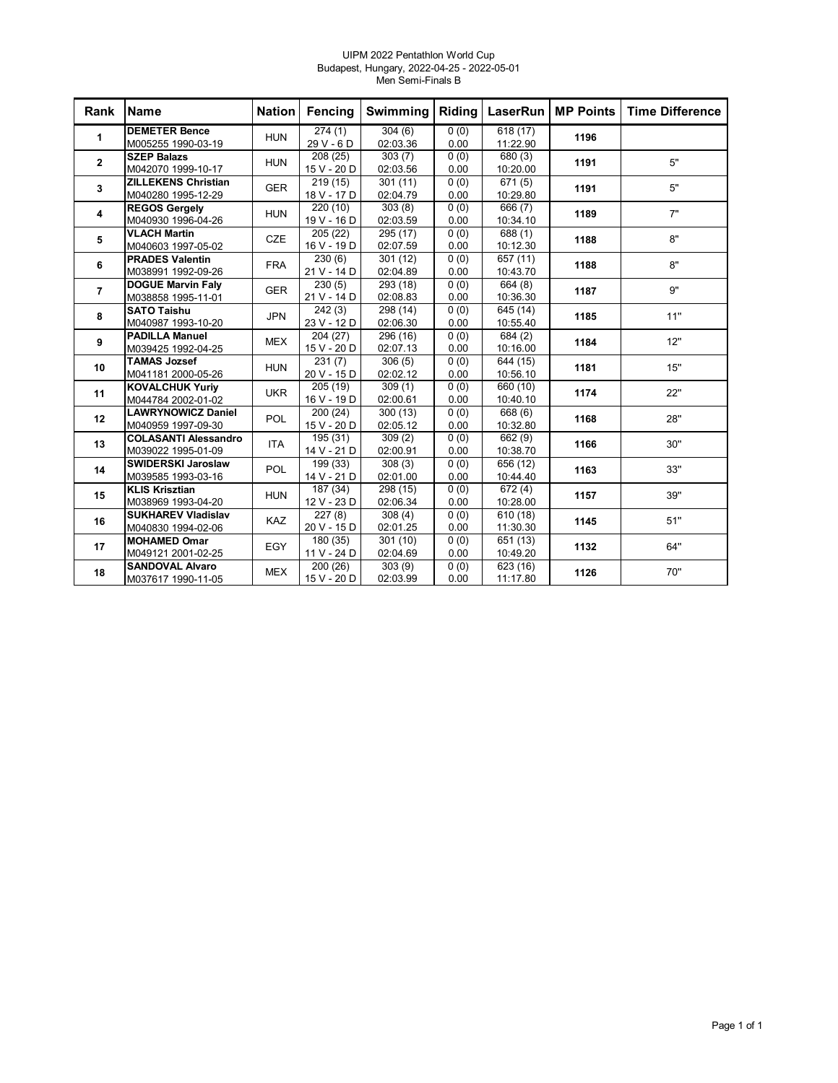#### UIPM 2022 Pentathlon World Cup Budapest, Hungary, 2022-04-25 - 2022-05-01 Men Semi-Finals B

| Rank           | <b>Name</b>                 | <b>Nation</b> | Fencing     | Swimming | Riding | LaserRun I | <b>MP Points</b> | <b>Time Difference</b> |
|----------------|-----------------------------|---------------|-------------|----------|--------|------------|------------------|------------------------|
| 1              | <b>DEMETER Bence</b>        | <b>HUN</b>    | 274(1)      | 304(6)   | 0(0)   | 618(17)    | 1196             |                        |
|                | M005255 1990-03-19          |               | 29 V - 6 D  | 02:03.36 | 0.00   | 11:22.90   |                  |                        |
| $\mathbf{2}$   | <b>SZEP Balazs</b>          | <b>HUN</b>    | 208 (25)    | 303(7)   | 0(0)   | 680 (3)    | 1191             | 5"                     |
|                | M042070 1999-10-17          |               | 15 V - 20 D | 02:03.56 | 0.00   | 10:20.00   |                  |                        |
| $\mathbf{3}$   | <b>ZILLEKENS Christian</b>  | <b>GER</b>    | 219(15)     | 301(11)  | 0(0)   | 671(5)     | 1191             | 5"                     |
|                | M040280 1995-12-29          |               | 18 V - 17 D | 02:04.79 | 0.00   | 10:29.80   |                  |                        |
| 4              | <b>REGOS Gergely</b>        | <b>HUN</b>    | 220 (10)    | 303(8)   | 0(0)   | 666 (7)    | 1189             | 7"                     |
|                | M040930 1996-04-26          |               | 19 V - 16 D | 02:03.59 | 0.00   | 10:34.10   |                  |                        |
| 5              | <b>VLACH Martin</b>         | <b>CZE</b>    | 205 (22)    | 295 (17) | 0(0)   | 688 (1)    | 1188             | 8"                     |
|                | M040603 1997-05-02          |               | 16 V - 19 D | 02:07.59 | 0.00   | 10:12.30   |                  |                        |
| 6              | <b>PRADES Valentin</b>      | <b>FRA</b>    | 230(6)      | 301 (12) | 0(0)   | 657 (11)   | 1188             | 8"                     |
|                | M038991 1992-09-26          |               | 21 V - 14 D | 02:04.89 | 0.00   | 10:43.70   |                  |                        |
| $\overline{7}$ | <b>DOGUE Marvin Faly</b>    | <b>GER</b>    | 230(5)      | 293 (18) | 0(0)   | 664 (8)    | 1187             | 9"                     |
|                | M038858 1995-11-01          |               | 21 V - 14 D | 02:08.83 | 0.00   | 10:36.30   |                  |                        |
| 8              | <b>SATO Taishu</b>          | <b>JPN</b>    | 242(3)      | 298(14)  | 0(0)   | 645 (14)   | 1185             | 11"                    |
|                | M040987 1993-10-20          |               | 23 V - 12 D | 02:06.30 | 0.00   | 10:55.40   |                  |                        |
| 9              | <b>PADILLA Manuel</b>       | <b>MEX</b>    | 204 (27)    | 296 (16) | 0(0)   | 684 (2)    | 1184             | 12"                    |
|                | M039425 1992-04-25          |               | 15 V - 20 D | 02:07.13 | 0.00   | 10:16.00   |                  |                        |
| 10             | <b>TAMAS Jozsef</b>         | <b>HUN</b>    | 231(7)      | 306(5)   | 0(0)   | 644 (15)   | 1181             | 15"                    |
|                | M041181 2000-05-26          |               | 20 V - 15 D | 02:02.12 | 0.00   | 10:56.10   |                  |                        |
| 11             | <b>KOVALCHUK Yuriy</b>      | <b>UKR</b>    | 205 (19)    | 309(1)   | 0(0)   | 660 (10)   | 1174             | 22"                    |
|                | M044784 2002-01-02          |               | 16 V - 19 D | 02:00.61 | 0.00   | 10:40.10   |                  |                        |
| 12             | <b>LAWRYNOWICZ Daniel</b>   | POL           | 200 (24)    | 300(13)  | 0(0)   | 668 (6)    | 1168             | 28"                    |
|                | M040959 1997-09-30          |               | 15 V - 20 D | 02:05.12 | 0.00   | 10:32.80   |                  |                        |
| 13             | <b>COLASANTI Alessandro</b> | <b>ITA</b>    | 195 (31)    | 309(2)   | 0(0)   | 662 (9)    | 1166             | 30"                    |
|                | M039022 1995-01-09          |               | 14 V - 21 D | 02:00.91 | 0.00   | 10:38.70   |                  |                        |
| 14             | <b>SWIDERSKI Jaroslaw</b>   | <b>POL</b>    | 199 (33)    | 308(3)   | 0(0)   | 656 (12)   | 1163             | 33"                    |
|                | M039585 1993-03-16          |               | 14 V - 21 D | 02:01.00 | 0.00   | 10:44.40   |                  |                        |
| 15             | <b>KLIS Krisztian</b>       | <b>HUN</b>    | 187 (34)    | 298 (15) | 0(0)   | 672(4)     | 1157             | 39"                    |
|                | M038969 1993-04-20          |               | 12 V - 23 D | 02:06.34 | 0.00   | 10:28.00   |                  |                        |
| 16             | <b>SUKHAREV Vladislav</b>   | <b>KAZ</b>    | 227(8)      | 308(4)   | 0(0)   | 610(18)    | 1145             | 51"                    |
|                | M040830 1994-02-06          |               | 20 V - 15 D | 02:01.25 | 0.00   | 11:30.30   |                  |                        |
| 17             | <b>MOHAMED Omar</b>         | EGY           | 180(35)     | 301(10)  | 0(0)   | 651 (13)   | 1132             | 64"                    |
|                | M049121 2001-02-25          |               | 11 V - 24 D | 02:04.69 | 0.00   | 10:49.20   |                  |                        |
| 18             | <b>SANDOVAL Alvaro</b>      | <b>MEX</b>    | 200(26)     | 303(9)   | 0(0)   | 623 (16)   | 1126             | 70"                    |
|                | M037617 1990-11-05          |               | 15 V - 20 D | 02:03.99 | 0.00   | 11:17.80   |                  |                        |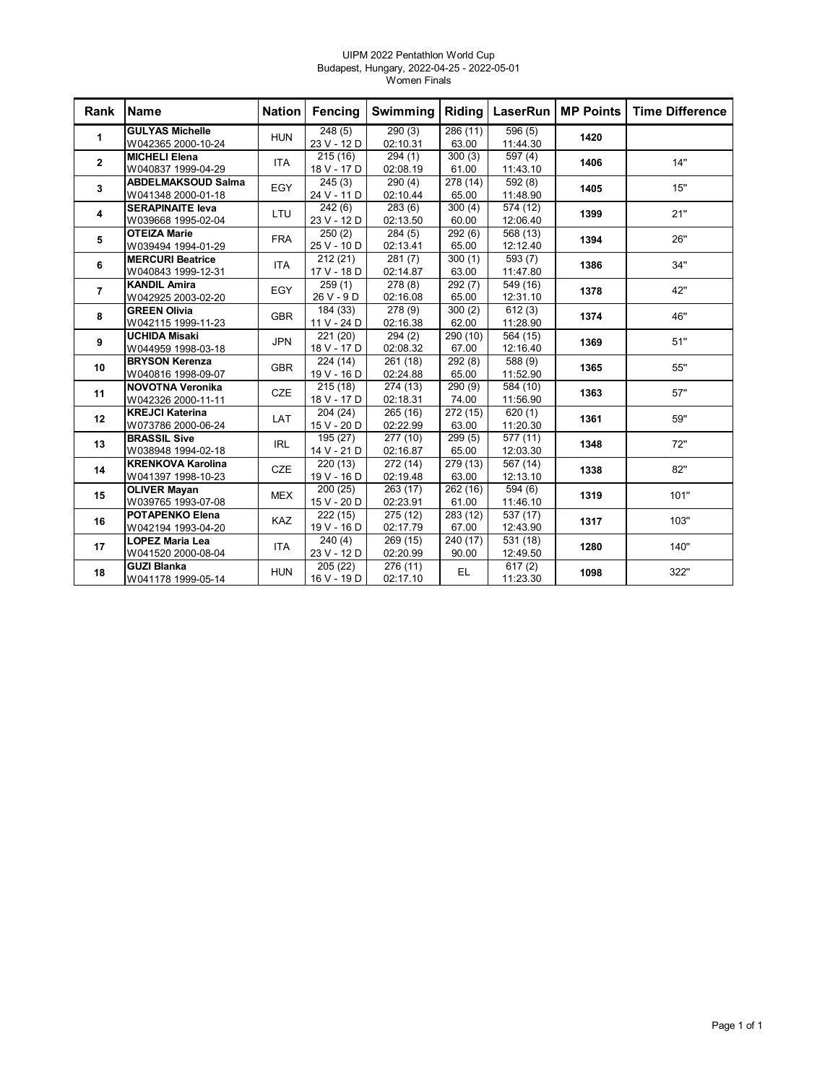#### UIPM 2022 Pentathlon World Cup Budapest, Hungary, 2022-04-25 - 2022-05-01 Women Finals

| Rank           | <b>Name</b>                                     | <b>Nation</b> | Fencing                 | Swimming                    | Riding                    | LaserRun                             | <b>MP Points</b> | <b>Time Difference</b> |
|----------------|-------------------------------------------------|---------------|-------------------------|-----------------------------|---------------------------|--------------------------------------|------------------|------------------------|
| 1              | <b>GULYAS Michelle</b><br>W042365 2000-10-24    | <b>HUN</b>    | 248(5)<br>23 V - 12 D   | 290(3)<br>02:10.31          | 286(11)<br>63.00          | 596(5)<br>11:44.30                   | 1420             |                        |
| $\mathbf{2}$   | <b>MICHELI Elena</b><br>W040837 1999-04-29      | <b>ITA</b>    | 215(16)<br>18 V - 17 D  | $\sqrt{294(1)}$<br>02:08.19 | 300(3)<br>61.00           | $\overline{597(4)}$<br>11:43.10      | 1406             | 14"                    |
| 3              | <b>ABDELMAKSOUD Salma</b><br>W041348 2000-01-18 | EGY           | 245(3)<br>24 V - 11 D   | 290(4)<br>02:10.44          | 278 (14)<br>65.00         | 592 (8)<br>11:48.90                  | 1405             | 15"                    |
| 4              | <b>SERAPINAITE leva</b><br>W039668 1995-02-04   | LTU           | 242(6)<br>23 V - 12 D   | 283(6)<br>02:13.50          | 300(4)<br>60.00           | 574 (12)<br>12:06.40                 | 1399             | 21"                    |
| 5              | <b>OTEIZA Marie</b><br>W039494 1994-01-29       | <b>FRA</b>    | 250(2)<br>25 V - 10 D   | 284(5)<br>02:13.41          | 292(6)<br>65.00           | 568 (13)<br>12:12.40                 | 1394             | 26"                    |
| 6              | <b>MERCURI Beatrice</b><br>W040843 1999-12-31   | <b>ITA</b>    | 212(21)<br>17 V - 18 D  | 281(7)<br>02:14.87          | 300(1)<br>63.00           | 593 (7)<br>11:47.80                  | 1386             | 34"                    |
| $\overline{7}$ | <b>KANDIL Amira</b><br>W042925 2003-02-20       | EGY           | 259(1)<br>26 V - 9 D    | 278 (8)<br>02:16.08         | 292(7)<br>65.00           | $\overline{5}$ 49 $(16)$<br>12:31.10 | 1378             | 42"                    |
| 8              | <b>GREEN Olivia</b><br>W042115 1999-11-23       | <b>GBR</b>    | 184 (33)<br>11 V - 24 D | 278 (9)<br>02:16.38         | 300(2)<br>62.00           | 612(3)<br>11:28.90                   | 1374             | 46"                    |
| 9              | <b>UCHIDA Misaki</b><br>W044959 1998-03-18      | <b>JPN</b>    | 221 (20)<br>18 V - 17 D | 294(2)<br>02:08.32          | 290 (10)<br>67.00         | 564 (15)<br>12:16.40                 | 1369             | 51"                    |
| 10             | <b>BRYSON Kerenza</b><br>W040816 1998-09-07     | <b>GBR</b>    | 224 (14)<br>19 V - 16 D | 261 (18)<br>02:24.88        | 292(8)<br>65.00           | 588 (9)<br>11:52.90                  | 1365             | 55"                    |
| 11             | <b>NOVOTNA Veronika</b><br>W042326 2000-11-11   | <b>CZE</b>    | 215(18)<br>18 V - 17 D  | 274 (13)<br>02:18.31        | $\sqrt{290}$ (9)<br>74.00 | 584 (10)<br>11:56.90                 | 1363             | 57"                    |
| 12             | <b>KREJCI Katerina</b><br>W073786 2000-06-24    | LAT           | 204 (24)<br>15 V - 20 D | 265 (16)<br>02:22.99        | 272(15)<br>63.00          | 620(1)<br>11:20.30                   | 1361             | 59"                    |
| 13             | <b>BRASSIL Sive</b><br>W038948 1994-02-18       | <b>IRL</b>    | 195 (27)<br>14 V - 21 D | 277 (10)<br>02:16.87        | 299(5)<br>65.00           | 577 (11)<br>12:03.30                 | 1348             | 72"                    |
| 14             | <b>KRENKOVA Karolina</b><br>W041397 1998-10-23  | CZE           | 220(13)<br>19 V - 16 D  | 272 (14)<br>02:19.48        | 279 (13)<br>63.00         | 567 (14)<br>12:13.10                 | 1338             | 82"                    |
| 15             | <b>OLIVER Mayan</b><br>W039765 1993-07-08       | <b>MEX</b>    | 200(25)<br>15 V - 20 D  | 263(17)<br>02:23.91         | 262 (16)<br>61.00         | 594 (6)<br>11:46.10                  | 1319             | 101"                   |
| 16             | <b>POTAPENKO Elena</b><br>W042194 1993-04-20    | KAZ           | 222(15)<br>19 V - 16 D  | 275 (12)<br>02:17.79        | 283 (12)<br>67.00         | 537 (17)<br>12:43.90                 | 1317             | 103"                   |
| 17             | <b>LOPEZ Maria Lea</b><br>W041520 2000-08-04    | <b>ITA</b>    | 240(4)<br>23 V - 12 D   | 269 (15)<br>02:20.99        | 240 (17)<br>90.00         | 531 (18)<br>12:49.50                 | 1280             | 140"                   |
| 18             | <b>GUZI Blanka</b><br>W041178 1999-05-14        | <b>HUN</b>    | 205(22)<br>16 V - 19 D  | 276 (11)<br>02:17.10        | EL.                       | $\sqrt{617(2)}$<br>11:23.30          | 1098             | 322"                   |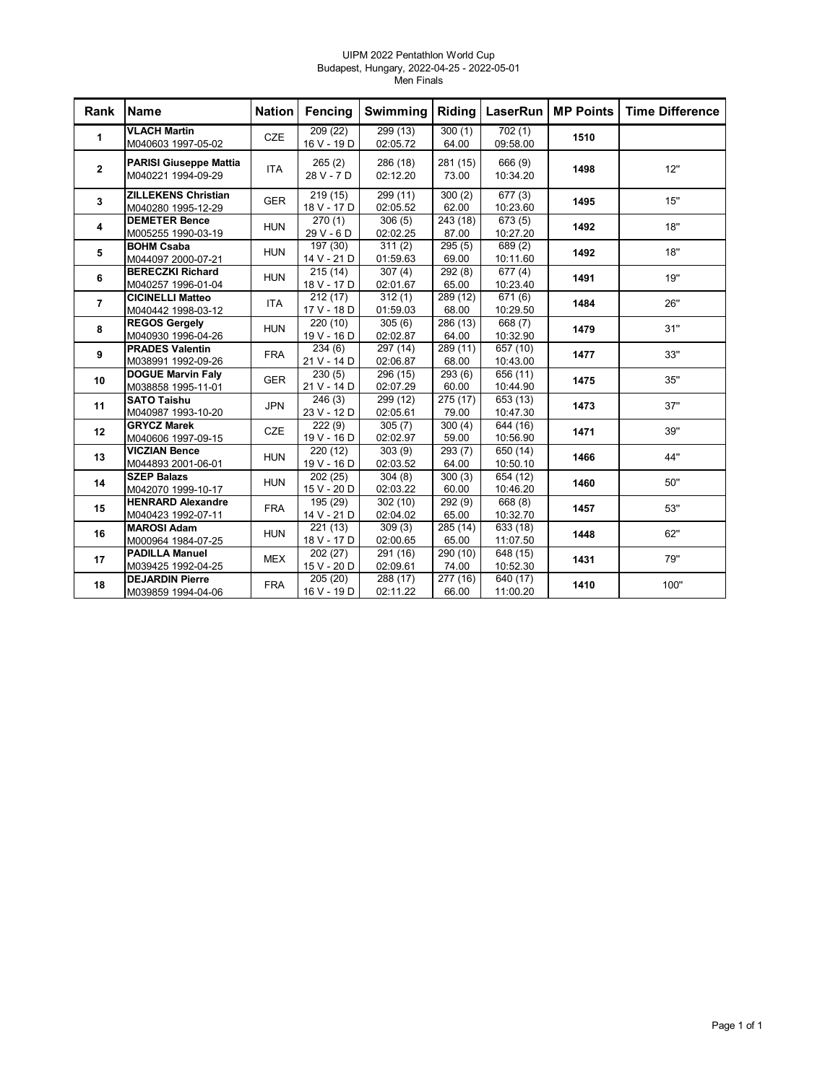#### UIPM 2022 Pentathlon World Cup Budapest, Hungary, 2022-04-25 - 2022-05-01 Men Finals

| Rank           | <b>Name</b>                                         | <b>Nation</b> | Fencing                 | Swimming             | Riding                     | <b>LaserRun</b>      | <b>MP Points</b> | <b>Time Difference</b> |
|----------------|-----------------------------------------------------|---------------|-------------------------|----------------------|----------------------------|----------------------|------------------|------------------------|
| $\mathbf{1}$   | <b>VLACH Martin</b><br>M040603 1997-05-02           | <b>CZE</b>    | 209(22)<br>16 V - 19 D  | 299(13)<br>02:05.72  | 300(1)<br>64.00            | 702(1)<br>09:58.00   | 1510             |                        |
| $\mathbf{2}$   | <b>PARISI Giuseppe Mattia</b><br>M040221 1994-09-29 | <b>ITA</b>    | 265(2)<br>28 V - 7 D    | 286 (18)<br>02:12.20 | 281 (15)<br>73.00          | 666 (9)<br>10:34.20  | 1498             | 12"                    |
| 3              | <b>ZILLEKENS Christian</b><br>M040280 1995-12-29    | <b>GER</b>    | 219(15)<br>18 V - 17 D  | 299 (11)<br>02:05.52 | 300(2)<br>62.00            | 677(3)<br>10:23.60   | 1495             | 15"                    |
| 4              | <b>DEMETER Bence</b><br>M005255 1990-03-19          | <b>HUN</b>    | 270(1)<br>29 V - 6 D    | 306(5)<br>02:02.25   | 243 (18)<br>87.00          | 673(5)<br>10:27.20   | 1492             | 18"                    |
| 5              | <b>BOHM Csaba</b><br>M044097 2000-07-21             | <b>HUN</b>    | 197 (30)<br>14 V - 21 D | 311(2)<br>01:59.63   | 295(5)<br>69.00            | 689(2)<br>10:11.60   | 1492             | 18"                    |
| 6              | <b>BERECZKI Richard</b><br>M040257 1996-01-04       | <b>HUN</b>    | 215(14)<br>18 V - 17 D  | 307(4)<br>02:01.67   | 292(8)<br>65.00            | 677(4)<br>10:23.40   | 1491             | 19"                    |
| $\overline{7}$ | <b>CICINELLI Matteo</b><br>M040442 1998-03-12       | <b>ITA</b>    | 212(17)<br>17 V - 18 D  | 312(1)<br>01:59.03   | 289(12)<br>68.00           | 671 (6)<br>10:29.50  | 1484             | 26"                    |
| 8              | <b>REGOS Gergely</b><br>M040930 1996-04-26          | <b>HUN</b>    | 220(10)<br>19 V - 16 D  | 305(6)<br>02:02.87   | 286 (13)<br>64.00          | 668 (7)<br>10:32.90  | 1479             | 31"                    |
| 9              | <b>PRADES Valentin</b><br>M038991 1992-09-26        | <b>FRA</b>    | 234(6)<br>21 V - 14 D   | 297 (14)<br>02:06.87 | $\sqrt{289}$ (11)<br>68.00 | 657 (10)<br>10:43.00 | 1477             | 33"                    |
| 10             | <b>DOGUE Marvin Faly</b><br>M038858 1995-11-01      | <b>GER</b>    | 230(5)<br>21 V - 14 D   | 296 (15)<br>02:07.29 | 293(6)<br>60.00            | 656 (11)<br>10:44.90 | 1475             | 35"                    |
| 11             | <b>SATO Taishu</b><br>M040987 1993-10-20            | <b>JPN</b>    | 246(3)<br>23 V - 12 D   | 299 (12)<br>02:05.61 | 275(17)<br>79.00           | 653 (13)<br>10:47.30 | 1473             | 37"                    |
| 12             | <b>GRYCZ Marek</b><br>M040606 1997-09-15            | <b>CZE</b>    | 222(9)<br>19 V - 16 D   | 305(7)<br>02:02.97   | 300(4)<br>59.00            | 644 (16)<br>10:56.90 | 1471             | 39"                    |
| 13             | <b>VICZIAN Bence</b><br>M044893 2001-06-01          | <b>HUN</b>    | 220(12)<br>19 V - 16 D  | 303(9)<br>02:03.52   | 293(7)<br>64.00            | 650 (14)<br>10:50.10 | 1466             | 44"                    |
| 14             | <b>SZEP Balazs</b><br>M042070 1999-10-17            | <b>HUN</b>    | 202(25)<br>15 V - 20 D  | 304(8)<br>02:03.22   | 300(3)<br>60.00            | 654 (12)<br>10:46.20 | 1460             | 50"                    |
| 15             | <b>HENRARD Alexandre</b><br>M040423 1992-07-11      | <b>FRA</b>    | 195 (29)<br>14 V - 21 D | 302(10)<br>02:04.02  | 292 (9)<br>65.00           | 668 (8)<br>10:32.70  | 1457             | 53"                    |
| 16             | <b>MAROSI Adam</b><br>M000964 1984-07-25            | <b>HUN</b>    | 221(13)<br>18 V - 17 D  | 309(3)<br>02:00.65   | 285(14)<br>65.00           | 633 (18)<br>11:07.50 | 1448             | 62"                    |
| 17             | <b>PADILLA Manuel</b><br>M039425 1992-04-25         | <b>MEX</b>    | 202(27)<br>15 V - 20 D  | 291(16)<br>02:09.61  | 290(10)<br>74.00           | 648 (15)<br>10:52.30 | 1431             | 79"                    |
| 18             | <b>DEJARDIN Pierre</b><br>M039859 1994-04-06        | <b>FRA</b>    | 205(20)<br>16 V - 19 D  | 288 (17)<br>02:11.22 | 277 (16)<br>66.00          | 640 (17)<br>11:00.20 | 1410             | 100"                   |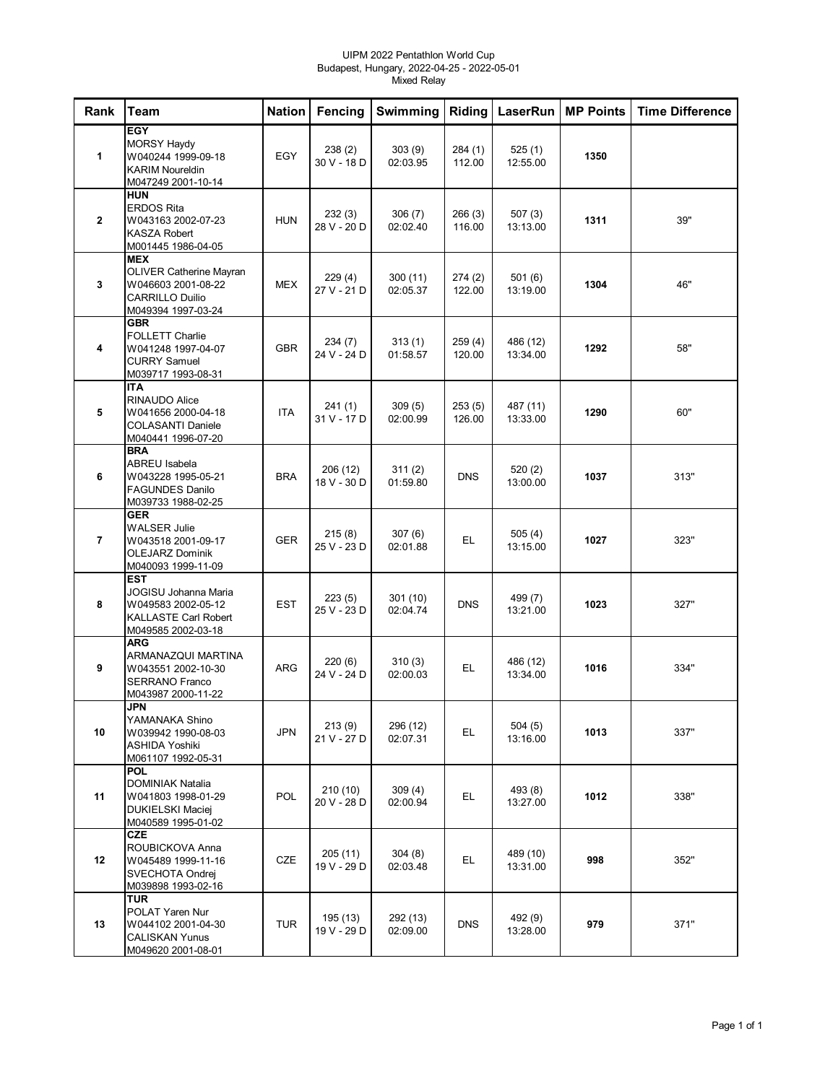#### UIPM 2022 Pentathlon World Cup Budapest, Hungary, 2022-04-25 - 2022-05-01 Mixed Relay

| Rank           | <b>Team</b>                                                                                                        | <b>Nation</b> | Fencing                 | Swimming             | Riding            | LaserRun             | <b>MP Points</b> | <b>Time Difference</b> |
|----------------|--------------------------------------------------------------------------------------------------------------------|---------------|-------------------------|----------------------|-------------------|----------------------|------------------|------------------------|
| 1              | <b>EGY</b><br><b>MORSY Haydy</b><br>W040244 1999-09-18<br><b>KARIM Noureldin</b><br>M047249 2001-10-14             | <b>EGY</b>    | 238(2)<br>30 V - 18 D   | 303(9)<br>02:03.95   | 284(1)<br>112.00  | 525(1)<br>12:55.00   | 1350             |                        |
| $\overline{2}$ | <b>HUN</b><br><b>ERDOS Rita</b><br>W043163 2002-07-23<br><b>KASZA Robert</b><br>M001445 1986-04-05                 | <b>HUN</b>    | 232(3)<br>28 V - 20 D   | 306(7)<br>02:02.40   | 266(3)<br>116.00  | 507(3)<br>13:13.00   | 1311             | 39"                    |
| 3              | <b>MEX</b><br><b>OLIVER Catherine Mayran</b><br>W046603 2001-08-22<br><b>CARRILLO Duilio</b><br>M049394 1997-03-24 | <b>MEX</b>    | 229 (4)<br>27 V - 21 D  | 300(11)<br>02:05.37  | 274 (2)<br>122.00 | 501(6)<br>13:19.00   | 1304             | 46"                    |
| 4              | <b>GBR</b><br><b>FOLLETT Charlie</b><br>W041248 1997-04-07<br><b>CURRY Samuel</b><br>M039717 1993-08-31            | <b>GBR</b>    | 234 (7)<br>24 V - 24 D  | 313(1)<br>01:58.57   | 259 (4)<br>120.00 | 486 (12)<br>13:34.00 | 1292             | 58"                    |
| 5              | <b>ITA</b><br><b>RINAUDO Alice</b><br>W041656 2000-04-18<br><b>COLASANTI Daniele</b><br>M040441 1996-07-20         | <b>ITA</b>    | 241 (1)<br>31 V - 17 D  | 309(5)<br>02:00.99   | 253(5)<br>126.00  | 487 (11)<br>13:33.00 | 1290             | 60"                    |
| 6              | <b>BRA</b><br><b>ABREU Isabela</b><br>W043228 1995-05-21<br><b>FAGUNDES Danilo</b><br>M039733 1988-02-25           | <b>BRA</b>    | 206 (12)<br>18 V - 30 D | 311(2)<br>01:59.80   | <b>DNS</b>        | 520 (2)<br>13:00.00  | 1037             | 313"                   |
| $\overline{7}$ | <b>GER</b><br><b>WALSER Julie</b><br>W043518 2001-09-17<br><b>OLEJARZ Dominik</b><br>M040093 1999-11-09            | <b>GER</b>    | 215(8)<br>25 V - 23 D   | 307(6)<br>02:01.88   | EL.               | 505(4)<br>13:15.00   | 1027             | 323"                   |
| 8              | <b>EST</b><br>JOGISU Johanna Maria<br>W049583 2002-05-12<br><b>KALLASTE Carl Robert</b><br>M049585 2002-03-18      | <b>EST</b>    | 223(5)<br>25 V - 23 D   | 301 (10)<br>02:04.74 | <b>DNS</b>        | 499 (7)<br>13:21.00  | 1023             | 327"                   |
| 9              | <b>ARG</b><br>ARMANAZQUI MARTINA<br>W043551 2002-10-30<br><b>SERRANO Franco</b><br>M043987 2000-11-22              | <b>ARG</b>    | 220 (6)<br>24 V - 24 D  | 310(3)<br>02:00.03   | EL.               | 486 (12)<br>13:34.00 | 1016             | 334"                   |
| 10             | <b>JPN</b><br>YAMANAKA Shino<br>W039942 1990-08-03<br><b>ASHIDA Yoshiki</b><br>M061107 1992-05-31                  | <b>JPN</b>    | 213(9)<br>21 V - 27 D   | 296 (12)<br>02:07.31 | EL.               | 504(5)<br>13:16.00   | 1013             | 337"                   |
| 11             | <b>POL</b><br><b>DOMINIAK Natalia</b><br>W041803 1998-01-29<br><b>DUKIELSKI Maciej</b><br>M040589 1995-01-02       | POL           | 210 (10)<br>20 V - 28 D | 309 (4)<br>02:00.94  | EL.               | 493 (8)<br>13:27.00  | 1012             | 338"                   |
| 12             | <b>CZE</b><br>ROUBICKOVA Anna<br>W045489 1999-11-16<br>SVECHOTA Ondrej<br>M039898 1993-02-16                       | CZE           | 205 (11)<br>19 V - 29 D | 304 (8)<br>02:03.48  | EL.               | 489 (10)<br>13:31.00 | 998              | 352"                   |
| 13             | <b>TUR</b><br>POLAT Yaren Nur<br>W044102 2001-04-30<br><b>CALISKAN Yunus</b><br>M049620 2001-08-01                 | <b>TUR</b>    | 195 (13)<br>19 V - 29 D | 292 (13)<br>02:09.00 | <b>DNS</b>        | 492 (9)<br>13:28.00  | 979              | 371"                   |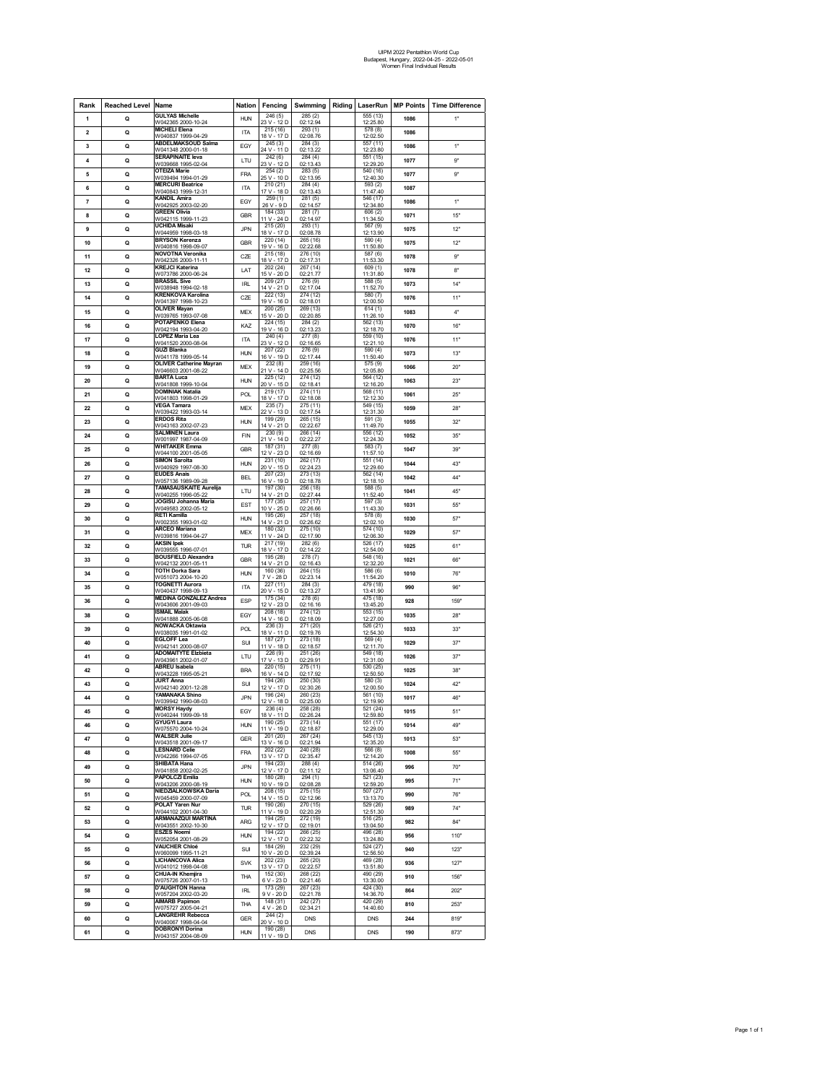# UIPM 2022 Pentathlon World Cup Budapest, Hungary, 2022-04-25 - 2022-05-01 Women Final Individual Results

| Rank           | <b>Reached Level Name</b> |                                                      | Nation     | Fencing                 | Swimming                | Riding |                      | LaserRun   MP Points | <b>Time Difference</b> |
|----------------|---------------------------|------------------------------------------------------|------------|-------------------------|-------------------------|--------|----------------------|----------------------|------------------------|
| 1              | Q                         | <b>GULYAS Michelle</b><br>W042365 2000-10-24         | <b>HUN</b> | 246(5)<br>23 V - 12 D   | 285(2)<br>02:12.94      |        | 555(13)<br>12:25.80  | 1086                 | 1"                     |
| $\overline{2}$ | Q                         | <b>MICHELI Elena</b><br>W040837 1999-04-29           | ITA        | 215(16)<br>18 V - 17 D  | 293(1)<br>02:08.76      |        | 578(8)<br>12:02.50   | 1086                 |                        |
| 3              | Q                         | <b>ABDELMAKSOUD Salma</b>                            | EGY        | 245(3)                  | 284(3)                  |        | 557 (11)             | 1086                 | 1"                     |
| $\overline{4}$ | Q                         | W041348 2000-01-18<br><b>SERAPINAITE leva</b>        | LTU        | 24 V - 11 D<br>242(6)   | 02:13.22<br>284 (4)     |        | 12:23.80<br>551 (15) | 1077                 | 9"                     |
|                |                           | W039668 1995-02-04<br><b>OTEIZA Marie</b>            |            | 23 V - 12 D<br>254(2)   | 02:13.43<br>283(5)      |        | 12:29.20<br>540(16)  |                      |                        |
| 5              | Q                         | W039494 1994-01-29<br><b>MERCURI Beatrice</b>        | <b>FRA</b> | 25 V - 10 D<br>210 (21) | 02:13.95<br>284 (4)     |        | 12:40.30<br>593 (2)  | 1077                 | 9"                     |
| 6              | Q                         | W040843 1999-12-31                                   | ITA        | 17 V - 18 D             | 02:13.43                |        | 11:47.40<br>546 (17) | 1087                 |                        |
| $\overline{7}$ | Q                         | <b>KANDIL Amira</b><br>W042925 2003-02-20            | EGY        | 259(1)<br>26 V - 9 D    | 281(5)<br>02:14.57      |        | 12:34.80             | 1086                 | 1 <sup>n</sup>         |
| 8              | Q                         | <b>GREEN Olivia</b><br>W042115 1999-11-23            | <b>GBR</b> | 184 (33)<br>11 V - 24 D | 281(7)<br>02:14.97      |        | 606 (2)<br>11:34.50  | 1071                 | 15"                    |
| 9              | Q                         | <b>UCHIDA Misaki</b><br>W044959 1998-03-18           | <b>JPN</b> | 215 (20)<br>18 V - 17 D | 293(1)<br>02:08.78      |        | 567(9)<br>12:13.90   | 1075                 | 12"                    |
| 10             | Q                         | <b>BRYSON Kerenza</b><br>W040816 1998-09-07          | <b>GBR</b> | 220(14)<br>19 V - 16 D  | 265(16)<br>02:22.68     |        | 590 (4)<br>11:50.80  | 1075                 | 12"                    |
| 11             | $\Omega$                  | <b>NOVOTNA Veronika</b><br>W042326 2000-11-11        | CZE        | 215 (18)<br>18 V - 17 D | 276 (10)<br>02.17.31    |        | 587 (6)<br>11:53.30  | 1078                 | $9^{\circ}$            |
| 12             | Q                         | <b>KREJCI Katerina</b><br>W073786 2000-06-24         | LAT        | 202 (24)<br>15 V - 20 D | 267 (14)<br>02:21.77    |        | 609(1)<br>11:31.80   | 1078                 | $8^{\circ}$            |
| 13             | Q                         | <b>BRASSIL Sive</b><br>W038948 1994-02-18            | IRL        | 209 (27)<br>14 V - 21 D | 276 (9)<br>02:17.04     |        | 588 (5)<br>11:52.70  | 1073                 | 14"                    |
| 14             | Q                         | <b>KRENKOVA Karolina</b>                             | CZE        | 222 (13)                | 274 (12)                |        | 580 (7)              | 1076                 | 11"                    |
| 15             | Q                         | W041397 1998-10-23<br><b>OLIVER Mayan</b>            | <b>MEX</b> | 19 V - 16 D<br>200 (25) | 02:18.01<br>269(13)     |        | 12:00.50<br>614 (1)  | 1083                 | $4^{\circ}$            |
| 16             | Q                         | W039765 1993-07-08<br><b>POTAPENKO Elena</b>         | KAZ        | 15 V - 20 D<br>224(15)  | 02:20.85<br>284(2)      |        | 11:26.10<br>562(13)  | 1070                 | 16"                    |
| 17             |                           | W042194 1993-04-20<br>LOPEZ Maria Lea                | <b>ITA</b> | 19 V - 16 D<br>240(4)   | 02:13.23<br>277(8)      |        | 12:18.70<br>559 (10) | 1076                 | 11"                    |
|                | Q                         | W041520 2000-08-04<br><b>GUZI Blanka</b>             |            | 23 V - 12 D<br>207 (22) | 02:16.65<br>276 (9)     |        | 12:21.10<br>590 (4)  |                      |                        |
| 18             | Q                         | W041178 1999-05-14<br><b>OLIVER Catherine Mayran</b> | <b>HUN</b> | 16 V - 19 D<br>232(8)   | 02:17.44<br>259 (16)    |        | 11:50.40<br>575(9)   | 1073                 | 13"                    |
| 19             | Q                         | W046603 2001-08-22                                   | <b>MEX</b> | 21 V - 14 D             | 02:25.56                |        | 12:05.80             | 1066                 | 20"                    |
| 20             | Q                         | <b>BARTA Luca</b><br>W041808 1999-10-04              | <b>HUN</b> | 225 (12)<br>20 V - 15 D | 274 (12)<br>02:18.41    |        | 564 (12)<br>12:16.20 | 1063                 | 23"                    |
| 21             | Q                         | <b>DOMINIAK Natalia</b><br>W041803 1998-01-29        | POL        | 219 (17)<br>18 V - 17 D | 274 (11)<br>02:18.08    |        | 568(11)<br>12:12.30  | 1061                 | 25"                    |
| 22             | Q                         | <b>VEGA Tamara</b><br>W039422 1993-03-14             | <b>MEX</b> | 235(7)<br>22 V - 13 D   | 275(11)<br>02:17.54     |        | 549 (15)<br>12:31.30 | 1059                 | 28"                    |
| 23             | Q                         | <b>ERDOS Rita</b><br>W043163 2002-07-23              | <b>HUN</b> | 199 (29)<br>14 V - 21 D | 265(15)<br>02:22.67     |        | 591 (3)<br>11:49.70  | 1055                 | 32"                    |
| 24             | Q                         | <b>SALMINEN Laura</b><br>W001997 1987-04-09          | <b>FIN</b> | 230 (9)<br>21 V - 14 D  | 266 (14)<br>02.22.27    |        | 556 (12)<br>12.24.30 | 1052                 | 35"                    |
| 25             | Q                         | <b>WHITAKER Emma</b>                                 | GBR        | 187 (31)                | 277(8)                  |        | 583 (7)              | 1047                 | 39"                    |
| 26             | Q                         | W044100 2001-05-05<br>SIMON Sarolta                  | <b>HUN</b> | 12 V - 23 D<br>231 (10) | 02:16.69<br>262 (17)    |        | 11:57.10<br>551 (14) | 1044                 | 43"                    |
| 27             | Q                         | W040929 1997-08-30<br><b>EUDES Anais</b>             | <b>BEL</b> | 20 V - 15 D<br>207(23)  | 02:24.23<br>273 (13)    |        | 12:29.60<br>562(14)  | 1042                 | 44"                    |
|                | Q                         | W057136 1989-09-28<br>TAMASAUSKAITE Aurelija         | LTU        | 16 V - 19 D<br>197 (30) | 02:18.78<br>256 (18)    |        | 12:18.10<br>588(5)   | 1041                 | 45                     |
| 28             |                           | W040255 1996-05-22<br>JOGISU Johanna Maria           |            | 14 V - 21 D<br>177(35)  | 02:27.44<br>257(17)     |        | 11:52.40<br>597 (3)  |                      |                        |
| 29             | Q                         | W049583 2002-05-12<br><b>RETI Kamilla</b>            | EST        | 10 V - 25 D<br>195 (26) | 02:26.66<br>257(18)     |        | 11:43.30<br>578(8)   | 1031                 | 55"                    |
| 30             | Q                         | W002355 1993-01-02<br><b>ARCEO Mariana</b>           | <b>HUN</b> | 14 V - 21 D             | 02:26.62                |        | 12:02.10             | 1030                 | 57"                    |
| 31             | Q                         | W039816 1994-04-27                                   | MEX        | 180 (32)<br>11 V - 24 D | 275 (10)<br>02:17.90    |        | 574 (10)<br>12:06.30 | 1029                 | 57"                    |
| 32             | Q                         | <b>AKSIN Ipek</b><br>W039555 1996-07-01              | <b>TUR</b> | 217 (19)<br>18 V - 17 D | 282(6)<br>02:14.22      |        | 526 (17)<br>12:54.00 | 1025                 | 61"                    |
| 33             | Q                         | <b>BOUSFIELD Alexandra</b><br>W042132 2001-05-11     | <b>GBR</b> | 195 (28)<br>14 V - 21 D | 278(7)<br>02:16.43      |        | 548 (16)<br>12:32.20 | 1021                 | 66'                    |
| 34             | Q                         | <b>TOTH Dorka Sara</b><br>W051073 2004-10-20         | <b>HUN</b> | 160 (36)<br>7 V - 28 D  | 264 (15)<br>02:23.14    |        | 586 (6)<br>11:54.20  | 1010                 | 76"                    |
| 35             | Q                         | <b>TOGNETTI Aurora</b><br>W040437 1998-09-13         | <b>ITA</b> | 227(11)<br>20 V - 15 D  | 284(3)<br>02:13.27      |        | 479 (18)<br>13:41.90 | 990                  | 96'                    |
| 36             | Q                         | <b>MEDINA GONZALEZ Andrea</b><br>W043606 2001-09-03  | ESP        | 175 (34)<br>12 V - 23 D | 278 (6)<br>02:16.16     |        | 475 (18)<br>13:45.20 | 928                  | 159"                   |
| 38             | Q                         | <b>ISMAIL Malak</b>                                  | EGY        | 208 (18)                | 274 (12)                |        | 553 (15)             | 1035                 | 28"                    |
| 39             | Q                         | W041888 2005-06-08<br><b>NOWACKA Oktawia</b>         | POL        | 14 V - 16 D<br>236(3)   | 02:18.09<br>271 (20)    |        | 12:27.00<br>526(21)  | 1033                 | 33"                    |
| 40             | Q                         | W038035 1991-01-02<br><b>EGLOFF Lea</b>              | SUI        | 18 V - 11 D<br>187 (27) | $02 - 1976$<br>273 (18) |        | 12:54.30<br>569(4)   | 1029                 | 37'                    |
| 41             | Q                         | W042141 2000-08-07<br><b>ADOMAITYTE Elzbieta</b>     | LTU        | 11 V - 18 D<br>226(9)   | 02:18.57<br>251 (26)    |        | 12:11.70<br>549 (18) | 1026                 | 37'                    |
|                |                           | W043961 2002-01-07<br><b>ABREU</b> Isabela           |            | 17 V - 13 D<br>220(15)  | 02:29.91<br>275(11)     |        | 12:31.00<br>530 (25) |                      |                        |
| 42             | Q                         | W043228 1995-05-21<br><b>JURT Anna</b>               | <b>BRA</b> | 16 V - 14 D<br>194 (26) | 02:17.92<br>250 (30)    |        | 12:50.50<br>580(3)   | 1025                 | 38'                    |
| 43             | Q                         | W042140 2001-12-28<br>YAMANAKA Shino                 | SUI        | 12 V - 17 D<br>196 (24) | 02:30.26<br>260 (23)    |        | 12:00.50<br>561 (10) | 1024                 | 42"                    |
| 44             | Q                         | W039942 1990-08-03<br><b>MORSY Haydy</b>             | <b>JPN</b> | 12 V - 18 D             | 02:25.00                |        | 12:19.90             | 1017                 | 46"                    |
| 45             | Q                         | W040244 1999-09-18                                   | EGY        | 236 (4)<br>18 V - 11 D  | 258 (28)<br>02:26.24    |        | 521 (24)<br>12:59.80 | 1015                 | 51"                    |
| 46             | Q                         | <b>GYUGYI Laura</b><br>W075570 2004-10-24            | <b>HUN</b> | 190 (25)<br>11 V - 19 D | 273 (14)<br>02:18.87    |        | 551 (17)<br>12:29.00 | 1014                 | 49"                    |
| 47             | Q                         | <b>WALSER Julie</b><br>W043518 2001-09-17            | <b>GER</b> | 201 (20)<br>$13V - 16D$ | 267 (24)<br>02:21.94    |        | 545 (13)<br>12:35.20 | 1013                 | 53"                    |
| 48             | Q                         | <b>LESNARD Celie</b><br>W042266 1994-07-05           | <b>FRA</b> | 202 (22)<br>13 V - 17 D | 240(28)<br>02:35.47     |        | 566(8)<br>12:14.20   | 1008                 | 55"                    |
| 49             | Q                         | SHIBATA Hana<br>W041858 2002-02-25                   | <b>JPN</b> | 194 (23)<br>12 V - 17 D | 288(4)<br>02:11.12      |        | 514 (26)<br>13:06.40 | 996                  | 70"                    |
| 50             | Q                         | PAPOLCZI Emilia<br>W043206 2000-08-19                | <b>HUN</b> | 180 (28)<br>10 V - 19 D | 294(1)<br>02:08.28      |        | 521 (23)<br>12:59.20 | 995                  | 71"                    |
| 51             | Q                         | NIEDZIALKOWSKA Daria<br>W045459 2000-07-09           | POL        | 208 (15)<br>14 V - 15 D | 275 (15)<br>02:12.96    |        | 507(27)<br>13:13.70  | 990                  | 76"                    |
| 52             | Q                         | <b>POLAT Yaren Nur</b>                               | TUR        | 190 (26)                | 270(15)                 |        | 529 (26)             | 989                  | 74"                    |
| 53             | Q                         | W044102 2001-04-30<br><b>ARMANAZQUI MARTINA</b>      | ARG        | 11 V - 19 D<br>194 (25) | 02:20.29<br>272 (19)    |        | 12:51.30<br>516(25)  | 982                  | 84"                    |
| 54             | Q                         | W043551 2002-10-30<br><b>ESZES Noemi</b>             | <b>HUN</b> | 12 V - 17 D<br>194 (22) | 02:19.01<br>266 (25)    |        | 13:04.50<br>496 (28) | 956                  | 110"                   |
|                |                           | W052054 2001-08-29<br><b>VAUCHER Chloé</b>           |            | 12 V - 17 D<br>184 (29) | 02:22.32<br>232 (29)    |        | 13:24.80<br>524 (27) |                      |                        |
| 55             | Q                         | W060099 1995-11-21<br><b>LICHANCOVA Alica</b>        | SUI        | 10 V - 20 D<br>202(23)  | 02:39.24<br>265 (20)    |        | 12:56.50<br>469 (28) | 940                  | 123"                   |
| 56             | Q                         | W041012 1998-04-08<br><b>CHUA-IN Khemjira</b>        | <b>SVK</b> | 13 V - 17 D<br>152 (30) | 02:22.57<br>268 (22)    |        | 13:51.80<br>490 (29) | 936                  | 127"                   |
| 57             | Q                         | W075726 2007-01-13                                   | THA        | $6V - 23D$              | 02:21.46                |        | 13:30.00             | 910                  | 156"                   |
| 58             | Q                         | <b>D'AUGHTON Hanna</b><br>W057204 2002-03-20         | IRL        | 173 (29)<br>9 V - 20 D  | 267 (23)<br>02:21.78    |        | 424 (30)<br>14:36.70 | 864                  | 202"                   |
| 59             | Q                         | <b>AIMARB</b> Papimon<br>W075727 2005-04-21          | THA        | 148 (31)<br>4 V - 26 D  | 242(27)<br>02:34.21     |        | 420 (29)<br>14:40.60 | 810                  | 253"                   |
| 60             | Q                         | <b>LANGREHR Rebecca</b><br>W040067 1998-04-04        | GER        | 244(2)<br>20 V - 10 D   | <b>DNS</b>              |        | DNS                  | 244                  | 819"                   |
| 61             | Q                         | <b>DOBRONYI Dorina</b><br>W043157 2004-08-09         | <b>HUN</b> | 190 (28)<br>11 V - 19 D | <b>DNS</b>              |        | <b>DNS</b>           | 190                  | 873"                   |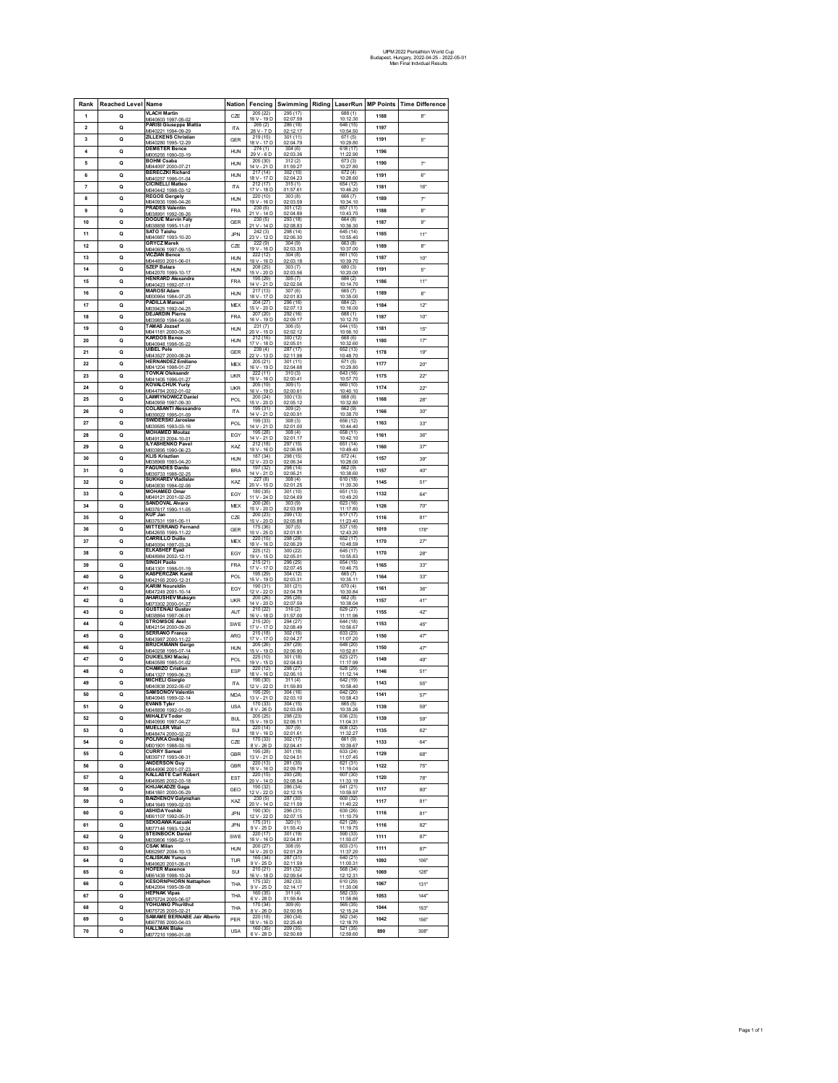| Rank                    | <b>Reached Level Name</b> |                                                                           | <b>Nation</b> | Fencing                              | Swimming Riding LaserRun |                       | <b>MP Points</b> | <b>Time Difference</b>   |
|-------------------------|---------------------------|---------------------------------------------------------------------------|---------------|--------------------------------------|--------------------------|-----------------------|------------------|--------------------------|
| 1                       | $\Omega$                  | <b>VLACH Martin</b><br>M040603 1997-05-02                                 | CZE           | 205(22)<br>19 <sub>D</sub><br>16 V-  | 295 (17)<br>02:07.59     | 688(1)<br>10:12.30    | 1188             | 8"                       |
| $\overline{\mathbf{2}}$ | Q                         | PARISI Giuseppe Mattia                                                    | <b>ITA</b>    | 265(2)<br>28 V - 7 D                 | 286 (18)<br>02:12.17     | 646 (15)<br>10:54.50  | 1197             |                          |
| 3                       | Q                         | 1994<br>09-29<br><b>ZILLEKENS Christian</b>                               | GER           | 219 (15)                             | 301 (11)                 | 671(5)                | 1191             | 5"                       |
| 4                       | Q                         | /040280 1995-12-29<br><b>DEMETER Bence</b>                                | <b>HUN</b>    | 18 V - 17 D<br>274(1)                | 02:04.79<br>304(6)       | 10:29.80<br>618 (17)  | 1196             |                          |
| 5                       | $\circ$                   | M005255 1990-03-19<br><b>BOHM Csaba</b>                                   | <b>HUN</b>    | 29 V - 6 D<br>205 (30)               | 02:03.36<br>312(2)       | 11:22.90<br>673(3)    | 1190             | 7"                       |
| 6                       |                           | M044097 2000-07-21<br><b>BERECZKI Richard</b>                             |               | 14 V - 21 D<br>217 (14)              | 01:59.27<br>302 (10)     | 10:27.80<br>672(4)    | 1191             | 6"                       |
|                         | Q                         | M040257 1996-01-04<br><b>CICINELLI Matteo</b>                             | <b>HUN</b>    | 18 V - 17 D                          | 02:04.23<br>315(1)       | 10:28.60<br>654 (12)  |                  |                          |
| 7                       | Q                         | VI040442 1998-03-12<br><b>REGOS</b> Gergely                               | <b>ITA</b>    | 212 (17)<br>17 V - 18 D<br>220 (10)  | 01:5761<br>303(8)        | 10:46.20<br>666 (7)   | 1181             | $16^{\circ}$             |
| 8                       | Q                         | M040930 1996-04-26                                                        | <b>HUN</b>    | 19 V - 16 D                          | 02:03.59                 | 10:34.10              | 1189             | $\overline{\phantom{a}}$ |
| 9                       | $\Omega$                  | <b>PRADES Valentin</b><br>M038991 1992-09-26                              | <b>FRA</b>    | 230(6)<br>21 V - 14 D                | 301(12)<br>02:04.89      | 657 (11)<br>10:43.70  | 1188             | R                        |
| 10                      | Q                         | <b>DOGUE Marvin Faly</b><br>/038858 1995-11-0                             | GER           | 230(5)<br>21 V - 14 E                | 293 (18)<br>02:08.83     | 664 (8)<br>10:36.30   | 1187             | 9"                       |
| 11                      | Q                         | <b>SATO Taishu</b><br>VI040987 1993-10<br>20                              | <b>JPN</b>    | 242 (3)<br>23 V -<br>12E             | 298 (14)<br>02:06.30     | 645 (14)<br>10:55     | 1185             | 11"                      |
| 12                      | Q                         | <b>GRYCZ Marek</b><br>M040606 1997-09-15                                  | CZE           | 222(9)<br>19 V - 16 D                | 304 (9)<br>02:03.35      | 663 (8)<br>10:37.00   | 1189             | 8"                       |
| 13                      | $\circ$                   | VICZIAN Bence<br>M044893 2001-06-01                                       | <b>HUN</b>    | 222 (12)<br>19 V - 16 D              | 304(8)<br>02:03.18       | 661 (10)<br>10:39.70  | 1187             | 10 <sup>°</sup>          |
| 14                      | Q                         | <b>SZEP Balazs</b>                                                        | <b>HUN</b>    | 208 (25)<br>15 V - 20 D              | 303 (7)                  | 680 (3)<br>10:20.00   | 1191             | 5"                       |
| 15                      | Q                         | /042070 1999-10-17<br><b>HENRARD Alexandre</b>                            | <b>FRA</b>    | 195 (29)                             | 02:03.56<br>305(7)       | 686 (2)               | 1186             | 11"                      |
| 16                      | Q                         | VI040423 1992-07-11<br><b>MAROSI Adam</b>                                 | <b>HUN</b>    | 14 V-<br>21 D<br>217(13)             | 02:02.56<br>307(6)       | 10:14.70<br>665 (7)   | 1189             | 8"                       |
| 17                      | $\Omega$                  | M000964 1984-07-2<br>PADILLA Manuel                                       | <b>MEX</b>    | 18 V - 17 D<br>204 (27)              | 02:01.83<br>296 (16)     | 10:35.00<br>684(2)    | 1184             | 12"                      |
|                         |                           | M039425 1992-04-25<br><b>DEJARDIN Pierre</b>                              |               | 15 V - 20 D<br>207 (20)              | 02:07.13<br>292 (16)     | 10:16.00<br>688 (1)   |                  |                          |
| 18                      | Q                         | 039859 1994-04-06<br><b>TAMAS Jozsef</b>                                  | <b>FRA</b>    | 19 <sub>D</sub><br>$16V -$<br>231(7) | 02:09.17<br>306(5)       | 10:12.70<br>644 (15)  | 1187             | 10 <sup>o</sup>          |
| 19                      | Q                         | /041181 2000-05-2<br><b>KARDOS Bence</b>                                  | <b>HUN</b>    | 20 V - 15 D<br>212 (16)              | 02:02.12<br>300(12)      | 10:56.10              | 1181             | 15                       |
| 20                      | Q                         | M040948 1998-05                                                           | <b>HUN</b>    | 17 V - 18 D                          | 02:05.01                 | 668 (6)<br>10:32.60   | 1180             | 17                       |
| 21                      | Q                         | <b>UIBEL Pele</b><br>V043527 2000-08-24                                   | GER           | 239(4)<br>22 V - 13 D                | 287(17)<br>02:11.98      | 652 (13)<br>10:48.70  | 1178             | 19"                      |
| 22                      | $\circ$                   | <b>HERNANDEZ Emiliano</b><br>M041204 1998-01-27                           | <b>MEX</b>    | 205 (21)<br>16 V - 19 D              | 301 (11)<br>02:04.68     | 671(5)<br>10:29.80    | 1177             | $20^{\circ}$             |
| 23                      | Q                         | <b>TOVKAI Oleksandr</b><br>/041405 1996-01-27                             | <b>UKR</b>    | 222 (11)<br>$19V - 16D$              | 310 (3)<br>02:00.41      | 643 (16)<br>10:57.70  | 1175             | $22^{\circ}$             |
| 24                      | Q                         | <b>KOVALCHUK Yuriy</b><br>M044784 2002-01-02                              | <b>UKR</b>    | 205 (19)<br>16 V - 19 D              | 309 (1)<br>02:00.61      | 660 (10)<br>10:40.10  | 1174             | $22^{\circ}$             |
| 25                      | Q                         | <b>LAWRYNOWICZ Daniel</b>                                                 | POL           | 200(24)                              | 300(13)                  | 668 (6)               | 1168             | 28"                      |
| 26                      | $\Omega$                  | VI040959 1997-09-30<br><b>COLASANTI Alessandro</b>                        | <b>ITA</b>    | 15 V - 20 D<br>195 (31)              | 02:05.12<br>309(2)       | 10:32.80<br>662 (9)   | 1166             | $30^{\circ}$             |
| 27                      | Q                         | M039022 1995-01-09<br><b>SWIDERSKI Jaroslaw</b>                           | POL           | 14 V - 21 D<br>199 (33)              | 02:00.9'<br>308(3)       | 10:38.70<br>656 (12)  | 1163             | 33"                      |
|                         |                           | 039585 1993-03-16<br><b>MOHAMED Moutaz</b>                                |               | 14 V - 21 D<br>195 (28)              | 02:01.00<br>308(4)       | 10:44 40<br>658 (11)  |                  |                          |
| 28                      | Q                         | MD49123 2004-10-01<br><b>ILYASHENKO Pavel</b>                             | EGY           | 14 V - 21 D<br>212 (18)              | 02:01.17<br>297 (15)     | 10:42.10<br>651 (14)  | 1161             | 36                       |
| 29                      | Q                         | V003895 1990-06-23                                                        | KAZ           | 19 V - 16 D                          | 02:06.95                 | 10:49.40              | 1160             | 37                       |
| 30                      | $\circ$                   | <b>KLIS Krisztian</b><br>M038969 1993-04-20                               | <b>HUN</b>    | 187 (34)<br>12 V - 23 D              | 298 (15)<br>02:06.34     | 672(4)<br>10:28.00    | 1157             | 39"                      |
| 31                      | Q                         | <b>AGUNDES Danilo</b><br>1039733 1988-02-25                               | <b>BRA</b>    | 197 (32)<br>14 V - 21 D              | 298 (14)<br>02:06.21     | 662 (9)<br>10:38.60   | 1157             | 40"                      |
| 32                      | Q                         | <b>SUKHAREV Vladislav</b><br>M140830 1994-02-06                           | KAZ           | 227(8)<br>20 V - 15 D                | 308(4)<br>02:01.25       | 610 (18)<br>11:30.30  | 1145             | 51"                      |
| 33                      | Q                         | <b>MOHAMED Omar</b><br>M049121 2001-02-2                                  | EGY           | 180 (35)<br>11 V - 24 D              | 301 (10)<br>02:04.69     | 651 (13)<br>10:49.20  | 1132             | 64"                      |
| 34                      | $\Omega$                  | SANDOVAL Alvaro<br>M037617 1990-11-0                                      | <b>MFX</b>    | 200(26)<br>15 V - 20 D               | 303(9)<br>02:03.99       | 623 (16)<br>11:17.80  | 1126             | 70"                      |
| 35                      | Q                         | KUF Jan                                                                   | CZE           | 200(23)                              | 299 (13)                 | 617 (17)              | 1116             | $81 -$                   |
| 36                      | Q                         | /037531 1991-05-11<br><b>MITTERRAND Fernand</b>                           | GER           | 15 V-<br>20 <sub>D</sub><br>175 (36) | 02:05.88<br>307 (5)      | 11:23.40<br>537 (18)  | 1019             | 178                      |
| 37                      | Q                         | VI042655 1999-11-2:<br><b>CARRILLO Duilio</b>                             | <b>MEX</b>    | 10 V<br>25F<br>220 (15)              | 02:01.8<br>298 (28)      | $12 - 43$<br>652 (17) | 1170             | 27                       |
| 38                      | $\circ$                   | M049394 1997-03-2<br><b>ELKASHEF Eyad</b>                                 |               | 18 V - 16 D<br>225 (12)              | 02:06.29<br>300 (22)     | 10:48.59<br>645 (17)  | 1170             | 28"                      |
|                         |                           | M048984 2002-12-1<br><b>SINGH Paolo</b>                                   | EGY           | 19 V -<br>15 D<br>215 (21)           | 02:05.01<br>296 (25)     | 10:55.83<br>654 (15)  |                  |                          |
| 39                      | Q                         | 041301 1998-01-19<br><b>KASPERCZAK Kamil</b>                              | <b>FRA</b>    | 17 V - 17 D                          | 02:07.45                 | 10:46.75              | 1165             | 33"                      |
| 40                      | Q                         | VI042165 2000-12-31                                                       | POL           | 195 (29)<br>15 V - 19 D              | 304 (12)<br>02:03.31     | 665 (7)<br>10:35.11   | 1164             | 33"                      |
| 41                      | Q                         | <b>KARIM Noureldin</b><br>M047249 2001-10-14                              | EGY           | 190 (31)<br>12 V - 22 D              | 301 (21)<br>02:04.78     | 670 (4)<br>10:30.84   | 1161             | 36°                      |
| 42                      | $\Omega$                  | <b>AHARUSHEV Maksym</b><br>M073302 2000-01-27                             | <b>UKR</b>    | 200(26)<br>14 V - 20 D               | 295 (26)<br>02:07.59     | 662(8)<br>10:38.04    | 1157             | 41"                      |
| 43                      | Q                         | <b>GUSTENAU Gustav</b><br>VI038864 1997-06-01                             | AUT           | 210 (22)<br>16 V - 18 D              | 316 (2)<br>01:57.00      | 629 (27)<br>11:11.96  | 1155             | 42                       |
| 44                      | Q                         | <b>STROMSOE Axel</b><br>042154 2000-09-26                                 | SWE           | 215 (20)<br>17 V - 17 D              | 294 (27)<br>02:08.49     | 644 (18)<br>10:56.67  | 1153             | 45                       |
| 45                      | Q                         | <b>SERRANO Franco</b>                                                     | ARG           | 215(18)                              | 302 (15)                 | 633(23)               | 1150             | 47                       |
| 46                      | Q                         | V043987 2000-11-22<br><b>BRUCKMANN Gergo</b>                              | <b>HUN</b>    | 17 V - 17 D<br>205(26)               | 02:04.27<br>297 (29)     | 11:07.20<br>648 (20)  | 1150             | 47                       |
| 47                      | $\circ$                   | M040258 1995-07-14<br>DUKIELSKI Maciej                                    | POL           | 15 V - 19 D<br>225 (10)              | 02:06.90<br>301 (18)     | 10:52.81<br>623 (27)  | 1149             | 49"                      |
|                         |                           | M040589 1995-01-02<br>CHAMIZO Cristian                                    |               | 19 V - 15 D<br>220 (12)              | 02:04.63<br>298 (27)     | 11:17.99<br>628 (29)  |                  |                          |
| 48                      | Q                         | /041327 1999-06-2                                                         | ESP           | 18 V - 16 D                          | 02:06:10                 | 11:12.14              | 1146             | 51"                      |
| 49                      | Q                         | <b>MICHELI Giorgio</b><br>V040838 2002-05-07                              | <b>ITA</b>    | 190 (30)<br>12 V - 22 D              | 311(4)<br>01:59.80       | 642 (19)<br>10:58.40  | 1143             | 55"                      |
| 50                      | Q                         | <b>SAMSONOV Valentin</b><br>MD40945 1999-02-14                            | <b>MDA</b>    | 195 (29)<br>13 V - 21 D              | 304 (16)<br>02:03.10     | 642 (20)<br>10:58.43  | 1141             | 57                       |
| 51                      | $\Omega$                  | <b>EVANS Tyler</b><br>M048899 1992-01-09                                  | <b>USA</b>    | 170 (33)<br>8 V - 26 D               | 304 (15)<br>02:03.09     | 665 (5)<br>10:35.26   | 1139             | 59"                      |
| 52                      | Q                         | <b>MIHALEV Todor</b><br>/040990 1997-04                                   | <b>BUL</b>    | 205 (25)<br>$15V - 19D$              | 298 (23)<br>02:06.11     | 636 (23)<br>11:04.31  | 1139             | 59"                      |
| 53                      | Q                         | <b>MUELLER Vital</b><br>/048474 2000-02                                   | SUI           | 220 (14)<br>18 V - 16 D              | 307(9)<br>02:01.61       | 608 (32)<br>11:32.27  | 1135             | 62"                      |
| 54                      | Q                         | POLIVKA Ondrei                                                            | CZE           | 170 (33)                             | 302 (17)                 | 661 (9)               | 1133             | 64"                      |
| 55                      | $\circ$                   | VID01901 1988-03-16<br>CURRY Samuel                                       | GBR           | 8 V - 26 D<br>195 (28)               | 02:04.41<br>301(18)      | 10:39.67<br>633 (24)  | 1129             | 68"                      |
| 56                      | Q                         | M039717 1993-08-3<br><b>ANDERSON Guy</b>                                  | GBR           | 13 V - 21 D<br>220 (13)              | 02:04.51<br>281 (35)     | 11:07.45<br>621 (31)  | 1122             | 75                       |
|                         |                           | VI044996 2001-07-23<br><b>KALLASTE Carl Robert</b>                        |               | 18 V - 16 D<br>220 (15)              | 02:09.79<br>293 (28)     | 11:19.04<br>607 (30)  |                  |                          |
| 57                      | Q                         | V049585 2002-03-18<br><b>KHIJAKADZE Gaga</b>                              | EST           | 20 V - 14 D<br>190 (32)              | 02:08.54<br>286 (34)     | 11:33.19<br>641 (21)  | 1120             | 78"                      |
| 58                      | Q                         | M041861 2000-05-29                                                        | GEO           | 12 V - 22 D                          | 02:12.15                 | 10:59.97              | 1117             | 80"                      |
| 59                      | $\Omega$                  | <b>BAIZHENOV Galymzhan</b><br>M041649 1999-02-03                          | KAZ           | 230(5)<br>14 D<br>$20V -$            | 287 (30)<br>02:11.59     | 600 (32)<br>11:40.22  | 1117             | $81 -$                   |
| 60                      | Q                         | <b>ASHIDA Yoshiki</b><br>061107 1992-05-31                                | JPN           | 190 (30)<br>$12V -$<br>22 D          | 296 (31)<br>02:07.15     | 630 (26)<br>11:10.79  | 1116             | $81 -$                   |
| 61                      | Q                         | <b>SEKIGAWA Kazuaki</b><br>V077146 1993-12-24                             | <b>JPN</b>    | 175 (31)<br>9 V-<br>25 D             | 320(1)<br>01:55.43       | 621 (28)<br>11:19.75  | 1116             | 82                       |
| 62                      | Q                         | <b>STEINBOCK Daniel</b><br>M039806 1996-02-11                             | SWE           | 220 (17)<br>18 V - 16 D              | 301 (19)<br>02:04.81     | 590 (33)<br>11:50.07  | 1111             | 87                       |
| 63                      | $\Omega$                  | <b>CSAK Milan</b>                                                         | <b>HUN</b>    | 200(27)                              | 308(9)                   | 603 (31)              | 1111             | 87                       |
| 64                      | Q                         | M062987 2004-10-13<br><b>CALISKAN Yunus</b>                               | TUR           | 14 V - 20 D<br>165 (34)              | 02:01.29<br>287 (31)     | 11:37.20<br>640 (21)  | 1092             | 106"                     |
| 65                      | Q                         | 049620 2001-08-0<br><b>HOFER Maxence</b>                                  | SUI           | 9 V - 25 D<br>210 (21)               | 02:11.59<br>291 (32)     | 11:00.31<br>568 (34)  | 1069             | 128"                     |
| 66                      |                           | MOR1430 1008-10-24<br><b>KESORNPHORN Nattaphon</b>                        |               | 16 V - 18 D<br>175(32)               | 02:09.54<br>282(33)      | 12:12<br>610 (29)     | 1067             |                          |
|                         | Q                         | /042064 1995-09-08<br><b>HEPNAK Vipas</b>                                 | THA           | $9V - 25D$<br>160(35)                | 02:14.17<br>311(4)       | 11:30.06<br>582 (33)  |                  | 131"                     |
| 67                      | $\Omega$                  | M075724 2005-06-07<br>YOHUANG Phurithut                                   | THA           | 6 V - 28 D<br>170 (34)               | 01:59.84<br>309(6)       | 11:58.86<br>565 (35)  | 1053             | 144"                     |
| 68                      | Q                         | M075725 2005-02-21                                                        | THA           | 8 V - 26 D                           | 02:00.95                 | 12:15.24              | 1044             | 153"                     |
| 69                      | Q                         | <b>SAMAME BERNABE Jair Alberto</b><br>M067785 2000-04-03<br>HALLMAN Blake | PER           | 220 (18)<br>18 V - 16 D              | 260 (34)<br>02:25.40     | 562 (34)<br>12:18.70  | 1042             | 156"                     |
| 70                      | Q                         | 077210 1996-01-08                                                         | <b>USA</b>    | 160 (35)<br>6 V - 28 D               | 209 (35)<br>02:50.69     | 521(35)<br>12:59.60   | 890              | 308"                     |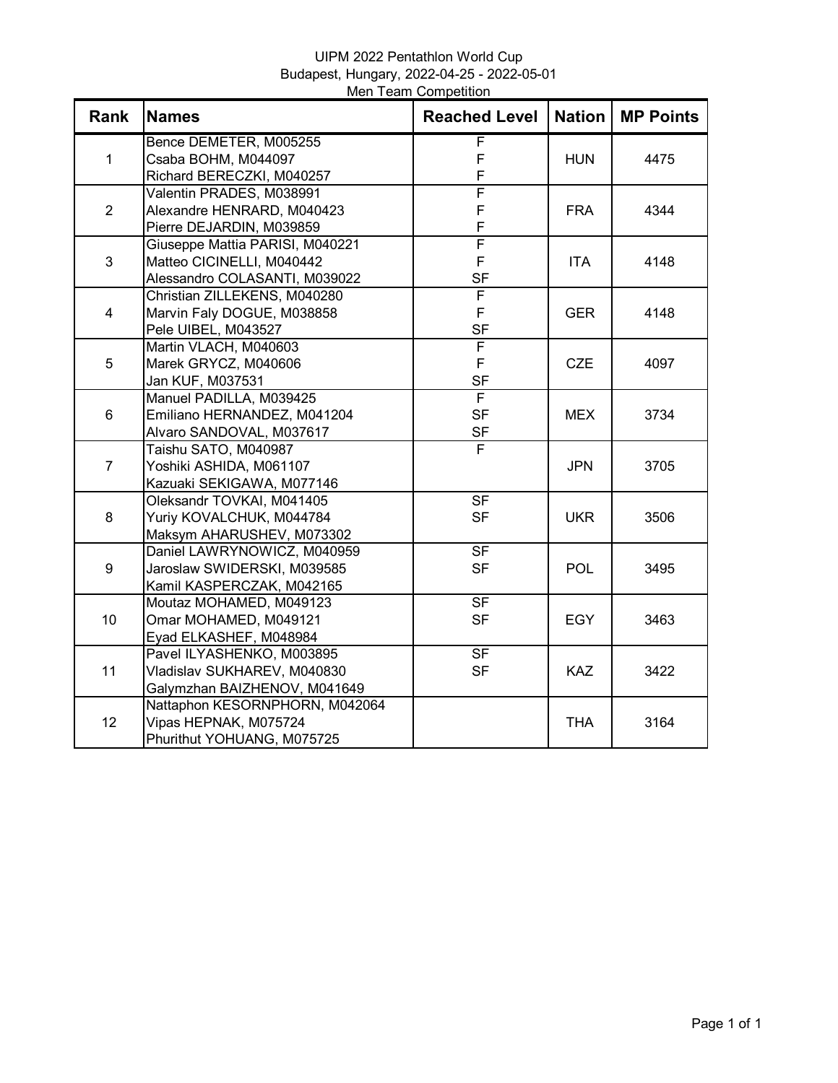# UIPM 2022 Pentathlon World Cup Budapest, Hungary, 2022-04-25 - 2022-05-01 Men Team Competition

| Bence DEMETER, M005255<br>F<br>F<br>$\mathbf{1}$<br>Csaba BOHM, M044097<br><b>HUN</b><br>4475<br>F<br>Richard BERECZKI, M040257<br>F<br>Valentin PRADES, M038991<br>F<br>$\overline{2}$<br>Alexandre HENRARD, M040423<br><b>FRA</b><br>4344<br>F<br>Pierre DEJARDIN, M039859<br>F<br>Giuseppe Mattia PARISI, M040221<br>F<br>3<br>Matteo CICINELLI, M040442<br><b>ITA</b><br>4148<br><b>SF</b><br>Alessandro COLASANTI, M039022<br>F<br>Christian ZILLEKENS, M040280<br>F<br>$\overline{4}$<br>Marvin Faly DOGUE, M038858<br><b>GER</b><br>4148<br>Pele UIBEL, M043527<br><b>SF</b><br>F<br>Martin VLACH, M040603<br>F<br>5<br>Marek GRYCZ, M040606<br><b>CZE</b><br>4097<br><b>SF</b><br>Jan KUF, M037531<br>F<br>Manuel PADILLA, M039425<br><b>SF</b><br>6<br>Emiliano HERNANDEZ, M041204<br><b>MEX</b><br>3734<br><b>SF</b><br>Alvaro SANDOVAL, M037617<br>$\overline{\mathsf{F}}$<br>Taishu SATO, M040987<br>$\overline{7}$<br>Yoshiki ASHIDA, M061107<br><b>JPN</b><br>3705<br>Kazuaki SEKIGAWA, M077146<br>$\overline{\mathsf{SF}}$<br>Oleksandr TOVKAI, M041405<br>8<br>Yuriy KOVALCHUK, M044784<br><b>SF</b><br><b>UKR</b><br>3506<br>Maksym AHARUSHEV, M073302<br>$S$ F<br>Daniel LAWRYNOWICZ, M040959<br><b>SF</b><br>9<br>Jaroslaw SWIDERSKI, M039585<br><b>POL</b><br>3495<br>Kamil KASPERCZAK, M042165<br>$S$ F<br>Moutaz MOHAMED, M049123<br>10<br>Omar MOHAMED, M049121<br><b>SF</b><br><b>EGY</b><br>3463<br>Eyad ELKASHEF, M048984<br><b>SF</b><br>Pavel ILYASHENKO, M003895<br>11<br><b>SF</b><br>Vladislav SUKHAREV, M040830<br><b>KAZ</b><br>3422<br>Galymzhan BAIZHENOV, M041649<br>Nattaphon KESORNPHORN, M042064<br>12<br>Vipas HEPNAK, M075724<br><b>THA</b><br>3164 | <b>Rank</b> | <b>Names</b>               | <b>Reached Level</b> | <b>Nation</b> | <b>MP Points</b> |
|----------------------------------------------------------------------------------------------------------------------------------------------------------------------------------------------------------------------------------------------------------------------------------------------------------------------------------------------------------------------------------------------------------------------------------------------------------------------------------------------------------------------------------------------------------------------------------------------------------------------------------------------------------------------------------------------------------------------------------------------------------------------------------------------------------------------------------------------------------------------------------------------------------------------------------------------------------------------------------------------------------------------------------------------------------------------------------------------------------------------------------------------------------------------------------------------------------------------------------------------------------------------------------------------------------------------------------------------------------------------------------------------------------------------------------------------------------------------------------------------------------------------------------------------------------------------------------------------------------------------------------------------------------------------------------------------|-------------|----------------------------|----------------------|---------------|------------------|
|                                                                                                                                                                                                                                                                                                                                                                                                                                                                                                                                                                                                                                                                                                                                                                                                                                                                                                                                                                                                                                                                                                                                                                                                                                                                                                                                                                                                                                                                                                                                                                                                                                                                                              |             |                            |                      |               |                  |
|                                                                                                                                                                                                                                                                                                                                                                                                                                                                                                                                                                                                                                                                                                                                                                                                                                                                                                                                                                                                                                                                                                                                                                                                                                                                                                                                                                                                                                                                                                                                                                                                                                                                                              |             |                            |                      |               |                  |
|                                                                                                                                                                                                                                                                                                                                                                                                                                                                                                                                                                                                                                                                                                                                                                                                                                                                                                                                                                                                                                                                                                                                                                                                                                                                                                                                                                                                                                                                                                                                                                                                                                                                                              |             |                            |                      |               |                  |
|                                                                                                                                                                                                                                                                                                                                                                                                                                                                                                                                                                                                                                                                                                                                                                                                                                                                                                                                                                                                                                                                                                                                                                                                                                                                                                                                                                                                                                                                                                                                                                                                                                                                                              |             |                            |                      |               |                  |
|                                                                                                                                                                                                                                                                                                                                                                                                                                                                                                                                                                                                                                                                                                                                                                                                                                                                                                                                                                                                                                                                                                                                                                                                                                                                                                                                                                                                                                                                                                                                                                                                                                                                                              |             |                            |                      |               |                  |
|                                                                                                                                                                                                                                                                                                                                                                                                                                                                                                                                                                                                                                                                                                                                                                                                                                                                                                                                                                                                                                                                                                                                                                                                                                                                                                                                                                                                                                                                                                                                                                                                                                                                                              |             |                            |                      |               |                  |
|                                                                                                                                                                                                                                                                                                                                                                                                                                                                                                                                                                                                                                                                                                                                                                                                                                                                                                                                                                                                                                                                                                                                                                                                                                                                                                                                                                                                                                                                                                                                                                                                                                                                                              |             |                            |                      |               |                  |
|                                                                                                                                                                                                                                                                                                                                                                                                                                                                                                                                                                                                                                                                                                                                                                                                                                                                                                                                                                                                                                                                                                                                                                                                                                                                                                                                                                                                                                                                                                                                                                                                                                                                                              |             |                            |                      |               |                  |
|                                                                                                                                                                                                                                                                                                                                                                                                                                                                                                                                                                                                                                                                                                                                                                                                                                                                                                                                                                                                                                                                                                                                                                                                                                                                                                                                                                                                                                                                                                                                                                                                                                                                                              |             |                            |                      |               |                  |
|                                                                                                                                                                                                                                                                                                                                                                                                                                                                                                                                                                                                                                                                                                                                                                                                                                                                                                                                                                                                                                                                                                                                                                                                                                                                                                                                                                                                                                                                                                                                                                                                                                                                                              |             |                            |                      |               |                  |
|                                                                                                                                                                                                                                                                                                                                                                                                                                                                                                                                                                                                                                                                                                                                                                                                                                                                                                                                                                                                                                                                                                                                                                                                                                                                                                                                                                                                                                                                                                                                                                                                                                                                                              |             |                            |                      |               |                  |
|                                                                                                                                                                                                                                                                                                                                                                                                                                                                                                                                                                                                                                                                                                                                                                                                                                                                                                                                                                                                                                                                                                                                                                                                                                                                                                                                                                                                                                                                                                                                                                                                                                                                                              |             |                            |                      |               |                  |
|                                                                                                                                                                                                                                                                                                                                                                                                                                                                                                                                                                                                                                                                                                                                                                                                                                                                                                                                                                                                                                                                                                                                                                                                                                                                                                                                                                                                                                                                                                                                                                                                                                                                                              |             |                            |                      |               |                  |
|                                                                                                                                                                                                                                                                                                                                                                                                                                                                                                                                                                                                                                                                                                                                                                                                                                                                                                                                                                                                                                                                                                                                                                                                                                                                                                                                                                                                                                                                                                                                                                                                                                                                                              |             |                            |                      |               |                  |
|                                                                                                                                                                                                                                                                                                                                                                                                                                                                                                                                                                                                                                                                                                                                                                                                                                                                                                                                                                                                                                                                                                                                                                                                                                                                                                                                                                                                                                                                                                                                                                                                                                                                                              |             |                            |                      |               |                  |
|                                                                                                                                                                                                                                                                                                                                                                                                                                                                                                                                                                                                                                                                                                                                                                                                                                                                                                                                                                                                                                                                                                                                                                                                                                                                                                                                                                                                                                                                                                                                                                                                                                                                                              |             |                            |                      |               |                  |
|                                                                                                                                                                                                                                                                                                                                                                                                                                                                                                                                                                                                                                                                                                                                                                                                                                                                                                                                                                                                                                                                                                                                                                                                                                                                                                                                                                                                                                                                                                                                                                                                                                                                                              |             |                            |                      |               |                  |
|                                                                                                                                                                                                                                                                                                                                                                                                                                                                                                                                                                                                                                                                                                                                                                                                                                                                                                                                                                                                                                                                                                                                                                                                                                                                                                                                                                                                                                                                                                                                                                                                                                                                                              |             |                            |                      |               |                  |
|                                                                                                                                                                                                                                                                                                                                                                                                                                                                                                                                                                                                                                                                                                                                                                                                                                                                                                                                                                                                                                                                                                                                                                                                                                                                                                                                                                                                                                                                                                                                                                                                                                                                                              |             |                            |                      |               |                  |
|                                                                                                                                                                                                                                                                                                                                                                                                                                                                                                                                                                                                                                                                                                                                                                                                                                                                                                                                                                                                                                                                                                                                                                                                                                                                                                                                                                                                                                                                                                                                                                                                                                                                                              |             |                            |                      |               |                  |
|                                                                                                                                                                                                                                                                                                                                                                                                                                                                                                                                                                                                                                                                                                                                                                                                                                                                                                                                                                                                                                                                                                                                                                                                                                                                                                                                                                                                                                                                                                                                                                                                                                                                                              |             |                            |                      |               |                  |
|                                                                                                                                                                                                                                                                                                                                                                                                                                                                                                                                                                                                                                                                                                                                                                                                                                                                                                                                                                                                                                                                                                                                                                                                                                                                                                                                                                                                                                                                                                                                                                                                                                                                                              |             |                            |                      |               |                  |
|                                                                                                                                                                                                                                                                                                                                                                                                                                                                                                                                                                                                                                                                                                                                                                                                                                                                                                                                                                                                                                                                                                                                                                                                                                                                                                                                                                                                                                                                                                                                                                                                                                                                                              |             |                            |                      |               |                  |
|                                                                                                                                                                                                                                                                                                                                                                                                                                                                                                                                                                                                                                                                                                                                                                                                                                                                                                                                                                                                                                                                                                                                                                                                                                                                                                                                                                                                                                                                                                                                                                                                                                                                                              |             |                            |                      |               |                  |
|                                                                                                                                                                                                                                                                                                                                                                                                                                                                                                                                                                                                                                                                                                                                                                                                                                                                                                                                                                                                                                                                                                                                                                                                                                                                                                                                                                                                                                                                                                                                                                                                                                                                                              |             |                            |                      |               |                  |
|                                                                                                                                                                                                                                                                                                                                                                                                                                                                                                                                                                                                                                                                                                                                                                                                                                                                                                                                                                                                                                                                                                                                                                                                                                                                                                                                                                                                                                                                                                                                                                                                                                                                                              |             |                            |                      |               |                  |
|                                                                                                                                                                                                                                                                                                                                                                                                                                                                                                                                                                                                                                                                                                                                                                                                                                                                                                                                                                                                                                                                                                                                                                                                                                                                                                                                                                                                                                                                                                                                                                                                                                                                                              |             |                            |                      |               |                  |
|                                                                                                                                                                                                                                                                                                                                                                                                                                                                                                                                                                                                                                                                                                                                                                                                                                                                                                                                                                                                                                                                                                                                                                                                                                                                                                                                                                                                                                                                                                                                                                                                                                                                                              |             |                            |                      |               |                  |
|                                                                                                                                                                                                                                                                                                                                                                                                                                                                                                                                                                                                                                                                                                                                                                                                                                                                                                                                                                                                                                                                                                                                                                                                                                                                                                                                                                                                                                                                                                                                                                                                                                                                                              |             |                            |                      |               |                  |
|                                                                                                                                                                                                                                                                                                                                                                                                                                                                                                                                                                                                                                                                                                                                                                                                                                                                                                                                                                                                                                                                                                                                                                                                                                                                                                                                                                                                                                                                                                                                                                                                                                                                                              |             |                            |                      |               |                  |
|                                                                                                                                                                                                                                                                                                                                                                                                                                                                                                                                                                                                                                                                                                                                                                                                                                                                                                                                                                                                                                                                                                                                                                                                                                                                                                                                                                                                                                                                                                                                                                                                                                                                                              |             |                            |                      |               |                  |
|                                                                                                                                                                                                                                                                                                                                                                                                                                                                                                                                                                                                                                                                                                                                                                                                                                                                                                                                                                                                                                                                                                                                                                                                                                                                                                                                                                                                                                                                                                                                                                                                                                                                                              |             |                            |                      |               |                  |
|                                                                                                                                                                                                                                                                                                                                                                                                                                                                                                                                                                                                                                                                                                                                                                                                                                                                                                                                                                                                                                                                                                                                                                                                                                                                                                                                                                                                                                                                                                                                                                                                                                                                                              |             |                            |                      |               |                  |
|                                                                                                                                                                                                                                                                                                                                                                                                                                                                                                                                                                                                                                                                                                                                                                                                                                                                                                                                                                                                                                                                                                                                                                                                                                                                                                                                                                                                                                                                                                                                                                                                                                                                                              |             |                            |                      |               |                  |
|                                                                                                                                                                                                                                                                                                                                                                                                                                                                                                                                                                                                                                                                                                                                                                                                                                                                                                                                                                                                                                                                                                                                                                                                                                                                                                                                                                                                                                                                                                                                                                                                                                                                                              |             |                            |                      |               |                  |
|                                                                                                                                                                                                                                                                                                                                                                                                                                                                                                                                                                                                                                                                                                                                                                                                                                                                                                                                                                                                                                                                                                                                                                                                                                                                                                                                                                                                                                                                                                                                                                                                                                                                                              |             | Phurithut YOHUANG, M075725 |                      |               |                  |